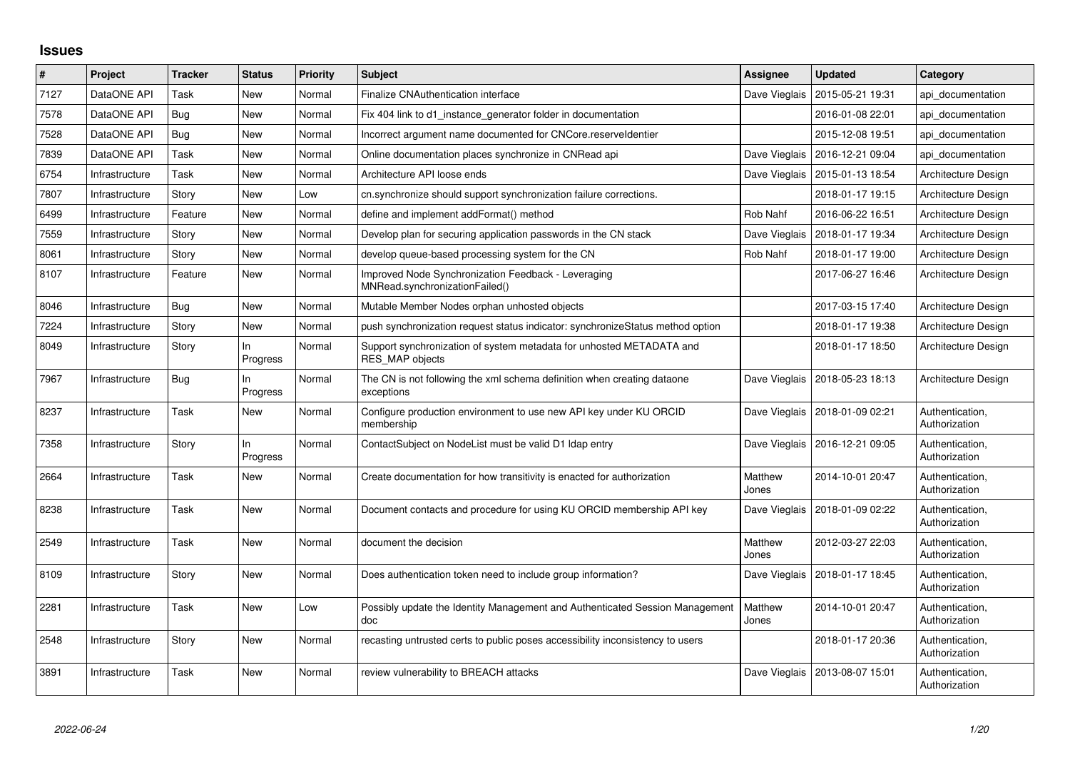## **Issues**

| $\#$ | Project        | <b>Tracker</b> | <b>Status</b>   | <b>Priority</b> | <b>Subject</b>                                                                                 | Assignee         | <b>Updated</b>                   | Category                         |
|------|----------------|----------------|-----------------|-----------------|------------------------------------------------------------------------------------------------|------------------|----------------------------------|----------------------------------|
| 7127 | DataONE API    | Task           | New             | Normal          | Finalize CNAuthentication interface                                                            | Dave Vieglais    | 2015-05-21 19:31                 | api documentation                |
| 7578 | DataONE API    | Bug            | New             | Normal          | Fix 404 link to d1 instance generator folder in documentation                                  |                  | 2016-01-08 22:01                 | api documentation                |
| 7528 | DataONE API    | Bug            | New             | Normal          | Incorrect argument name documented for CNCore.reserveldentier                                  |                  | 2015-12-08 19:51                 | api documentation                |
| 7839 | DataONE API    | Task           | <b>New</b>      | Normal          | Online documentation places synchronize in CNRead api                                          |                  | Dave Vieglais   2016-12-21 09:04 | api documentation                |
| 6754 | Infrastructure | Task           | New             | Normal          | Architecture API loose ends                                                                    | Dave Vieglais    | 2015-01-13 18:54                 | Architecture Design              |
| 7807 | Infrastructure | Story          | <b>New</b>      | Low             | cn.synchronize should support synchronization failure corrections.                             |                  | 2018-01-17 19:15                 | Architecture Design              |
| 6499 | Infrastructure | Feature        | New             | Normal          | define and implement addFormat() method                                                        | Rob Nahf         | 2016-06-22 16:51                 | Architecture Design              |
| 7559 | Infrastructure | Story          | <b>New</b>      | Normal          | Develop plan for securing application passwords in the CN stack                                | Dave Vieglais    | 2018-01-17 19:34                 | Architecture Design              |
| 8061 | Infrastructure | Story          | New             | Normal          | develop queue-based processing system for the CN                                               | Rob Nahf         | 2018-01-17 19:00                 | Architecture Design              |
| 8107 | Infrastructure | Feature        | <b>New</b>      | Normal          | Improved Node Synchronization Feedback - Leveraging<br>MNRead.svnchronizationFailed()          |                  | 2017-06-27 16:46                 | Architecture Design              |
| 8046 | Infrastructure | Bug            | New             | Normal          | Mutable Member Nodes orphan unhosted objects                                                   |                  | 2017-03-15 17:40                 | Architecture Design              |
| 7224 | Infrastructure | Story          | <b>New</b>      | Normal          | push synchronization request status indicator: synchronizeStatus method option                 |                  | 2018-01-17 19:38                 | Architecture Design              |
| 8049 | Infrastructure | Story          | In.<br>Progress | Normal          | Support synchronization of system metadata for unhosted METADATA and<br><b>RES MAP objects</b> |                  | 2018-01-17 18:50                 | Architecture Design              |
| 7967 | Infrastructure | Bug            | ln.<br>Progress | Normal          | The CN is not following the xml schema definition when creating dataone<br>exceptions          | Dave Vieglais    | 2018-05-23 18:13                 | Architecture Design              |
| 8237 | Infrastructure | Task           | <b>New</b>      | Normal          | Configure production environment to use new API key under KU ORCID<br>membership               |                  | Dave Vieglais   2018-01-09 02:21 | Authentication,<br>Authorization |
| 7358 | Infrastructure | Story          | ln.<br>Progress | Normal          | ContactSubject on NodeList must be valid D1 Idap entry                                         | Dave Vieglais    | 2016-12-21 09:05                 | Authentication,<br>Authorization |
| 2664 | Infrastructure | Task           | <b>New</b>      | Normal          | Create documentation for how transitivity is enacted for authorization                         | Matthew<br>Jones | 2014-10-01 20:47                 | Authentication,<br>Authorization |
| 8238 | Infrastructure | Task           | New             | Normal          | Document contacts and procedure for using KU ORCID membership API key                          | Dave Vieglais    | 2018-01-09 02:22                 | Authentication,<br>Authorization |
| 2549 | Infrastructure | Task           | New             | Normal          | document the decision                                                                          | Matthew<br>Jones | 2012-03-27 22:03                 | Authentication,<br>Authorization |
| 8109 | Infrastructure | Story          | New             | Normal          | Does authentication token need to include group information?                                   | Dave Vieglais    | 2018-01-17 18:45                 | Authentication,<br>Authorization |
| 2281 | Infrastructure | Task           | <b>New</b>      | Low             | Possibly update the Identity Management and Authenticated Session Management<br>doc            | Matthew<br>Jones | 2014-10-01 20:47                 | Authentication,<br>Authorization |
| 2548 | Infrastructure | Story          | New             | Normal          | recasting untrusted certs to public poses accessibility inconsistency to users                 |                  | 2018-01-17 20:36                 | Authentication,<br>Authorization |
| 3891 | Infrastructure | Task           | <b>New</b>      | Normal          | review vulnerability to BREACH attacks                                                         | Dave Vieglais    | 2013-08-07 15:01                 | Authentication,<br>Authorization |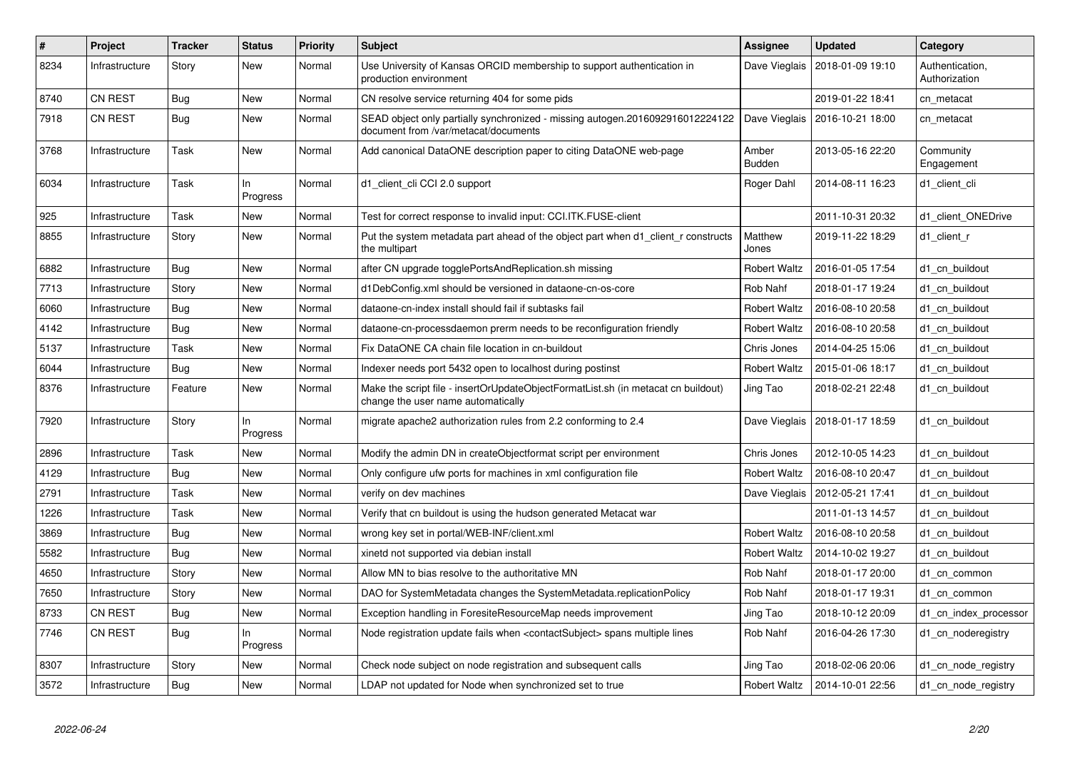| #    | Project        | <b>Tracker</b> | <b>Status</b>   | <b>Priority</b> | <b>Subject</b>                                                                                                          | <b>Assignee</b>        | <b>Updated</b>                   | Category                         |
|------|----------------|----------------|-----------------|-----------------|-------------------------------------------------------------------------------------------------------------------------|------------------------|----------------------------------|----------------------------------|
| 8234 | Infrastructure | Story          | New             | Normal          | Use University of Kansas ORCID membership to support authentication in<br>production environment                        | Dave Vieglais          | 2018-01-09 19:10                 | Authentication,<br>Authorization |
| 8740 | <b>CN REST</b> | Bug            | New             | Normal          | CN resolve service returning 404 for some pids                                                                          |                        | 2019-01-22 18:41                 | cn metacat                       |
| 7918 | <b>CN REST</b> | Bug            | New             | Normal          | SEAD object only partially synchronized - missing autogen.2016092916012224122<br>document from /var/metacat/documents   |                        | Dave Vieglais   2016-10-21 18:00 | cn metacat                       |
| 3768 | Infrastructure | Task           | New             | Normal          | Add canonical DataONE description paper to citing DataONE web-page                                                      | Amber<br><b>Budden</b> | 2013-05-16 22:20                 | Community<br>Engagement          |
| 6034 | Infrastructure | Task           | ln.<br>Progress | Normal          | d1_client_cli CCI 2.0 support                                                                                           | Roger Dahl             | 2014-08-11 16:23                 | d1_client_cli                    |
| 925  | Infrastructure | Task           | New             | Normal          | Test for correct response to invalid input: CCI.ITK.FUSE-client                                                         |                        | 2011-10-31 20:32                 | d1_client_ONEDrive               |
| 8855 | Infrastructure | Story          | <b>New</b>      | Normal          | Put the system metadata part ahead of the object part when d1 client r constructs<br>the multipart                      | Matthew<br>Jones       | 2019-11-22 18:29                 | d1 client r                      |
| 6882 | Infrastructure | <b>Bug</b>     | New             | Normal          | after CN upgrade togglePortsAndReplication.sh missing                                                                   | <b>Robert Waltz</b>    | 2016-01-05 17:54                 | d1 cn buildout                   |
| 7713 | Infrastructure | Story          | New             | Normal          | d1DebConfig.xml should be versioned in dataone-cn-os-core                                                               | Rob Nahf               | 2018-01-17 19:24                 | d1 cn buildout                   |
| 6060 | Infrastructure | <b>Bug</b>     | New             | Normal          | dataone-cn-index install should fail if subtasks fail                                                                   | <b>Robert Waltz</b>    | 2016-08-10 20:58                 | d1 cn buildout                   |
| 4142 | Infrastructure | <b>Bug</b>     | <b>New</b>      | Normal          | dataone-cn-processdaemon prerm needs to be reconfiguration friendly                                                     | <b>Robert Waltz</b>    | 2016-08-10 20:58                 | d1 cn buildout                   |
| 5137 | Infrastructure | Task           | New             | Normal          | Fix DataONE CA chain file location in cn-buildout                                                                       | Chris Jones            | 2014-04-25 15:06                 | d1 cn buildout                   |
| 6044 | Infrastructure | Bug            | New             | Normal          | Indexer needs port 5432 open to localhost during postinst                                                               | <b>Robert Waltz</b>    | 2015-01-06 18:17                 | d1 cn buildout                   |
| 8376 | Infrastructure | Feature        | New             | Normal          | Make the script file - insertOrUpdateObjectFormatList.sh (in metacat cn buildout)<br>change the user name automatically | Jing Tao               | 2018-02-21 22:48                 | d1 cn buildout                   |
| 7920 | Infrastructure | Story          | In<br>Progress  | Normal          | migrate apache2 authorization rules from 2.2 conforming to 2.4                                                          |                        | Dave Vieglais   2018-01-17 18:59 | d1 cn buildout                   |
| 2896 | Infrastructure | Task           | New             | Normal          | Modify the admin DN in createObjectformat script per environment                                                        | Chris Jones            | 2012-10-05 14:23                 | d1 cn buildout                   |
| 4129 | Infrastructure | <b>Bug</b>     | New             | Normal          | Only configure ufw ports for machines in xml configuration file                                                         | <b>Robert Waltz</b>    | 2016-08-10 20:47                 | d1 cn buildout                   |
| 2791 | Infrastructure | Task           | New             | Normal          | verify on dev machines                                                                                                  | Dave Vieglais          | 2012-05-21 17:41                 | d1_cn_buildout                   |
| 1226 | Infrastructure | Task           | New             | Normal          | Verify that cn buildout is using the hudson generated Metacat war                                                       |                        | 2011-01-13 14:57                 | d1 cn buildout                   |
| 3869 | Infrastructure | <b>Bug</b>     | New             | Normal          | wrong key set in portal/WEB-INF/client.xml                                                                              | <b>Robert Waltz</b>    | 2016-08-10 20:58                 | d1 cn buildout                   |
| 5582 | Infrastructure | <b>Bug</b>     | <b>New</b>      | Normal          | xinetd not supported via debian install                                                                                 | <b>Robert Waltz</b>    | 2014-10-02 19:27                 | d1 cn buildout                   |
| 4650 | Infrastructure | Story          | New             | Normal          | Allow MN to bias resolve to the authoritative MN                                                                        | Rob Nahf               | 2018-01-17 20:00                 | d1 cn common                     |
| 7650 | Infrastructure | Story          | New             | Normal          | DAO for SystemMetadata changes the SystemMetadata.replicationPolicy                                                     | Rob Nahf               | 2018-01-17 19:31                 | d1 cn common                     |
| 8733 | <b>CN REST</b> | <b>Bug</b>     | New             | Normal          | Exception handling in ForesiteResourceMap needs improvement                                                             | Jing Tao               | 2018-10-12 20:09                 | d1_cn_index_processor            |
| 7746 | <b>CN REST</b> | Bug            | ln.<br>Progress | Normal          | Node registration update fails when <contactsubject> spans multiple lines</contactsubject>                              | Rob Nahf               | 2016-04-26 17:30                 | d1 cn noderegistry               |
| 8307 | Infrastructure | Story          | New             | Normal          | Check node subject on node registration and subsequent calls                                                            | Jing Tao               | 2018-02-06 20:06                 | d1 cn node registry              |
| 3572 | Infrastructure | Bug            | New             | Normal          | LDAP not updated for Node when synchronized set to true                                                                 | <b>Robert Waltz</b>    | 2014-10-01 22:56                 | d1 cn node registry              |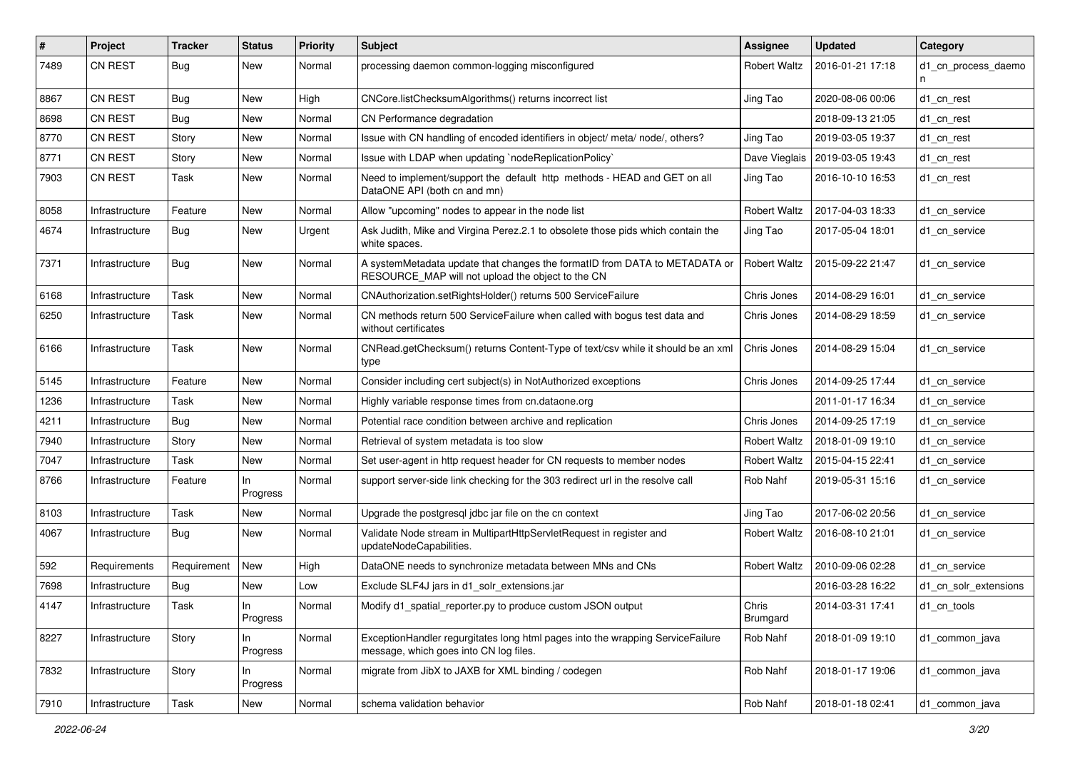| #    | Project        | <b>Tracker</b> | <b>Status</b>  | <b>Priority</b> | <b>Subject</b>                                                                                                                  | <b>Assignee</b>     | <b>Updated</b>   | Category              |
|------|----------------|----------------|----------------|-----------------|---------------------------------------------------------------------------------------------------------------------------------|---------------------|------------------|-----------------------|
| 7489 | CN REST        | <b>Bug</b>     | New            | Normal          | processing daemon common-logging misconfigured                                                                                  | Robert Waltz        | 2016-01-21 17:18 | d1 cn process daemo   |
| 8867 | CN REST        | <b>Bug</b>     | New            | High            | CNCore.listChecksumAlgorithms() returns incorrect list                                                                          | Jing Tao            | 2020-08-06 00:06 | d1 cn rest            |
| 8698 | <b>CN REST</b> | <b>Bug</b>     | New            | Normal          | CN Performance degradation                                                                                                      |                     | 2018-09-13 21:05 | d1 cn rest            |
| 8770 | <b>CN REST</b> | Story          | New            | Normal          | Issue with CN handling of encoded identifiers in object/ meta/ node/, others?                                                   | Jing Tao            | 2019-03-05 19:37 | d1 cn rest            |
| 8771 | <b>CN REST</b> | Story          | New            | Normal          | Issue with LDAP when updating `nodeReplicationPolicy`                                                                           | Dave Vieglais       | 2019-03-05 19:43 | d1 cn rest            |
| 7903 | CN REST        | Task           | New            | Normal          | Need to implement/support the default http methods - HEAD and GET on all<br>DataONE API (both cn and mn)                        | Jing Tao            | 2016-10-10 16:53 | d1 cn rest            |
| 8058 | Infrastructure | Feature        | New            | Normal          | Allow "upcoming" nodes to appear in the node list                                                                               | <b>Robert Waltz</b> | 2017-04-03 18:33 | d1_cn_service         |
| 4674 | Infrastructure | <b>Bug</b>     | New            | Urgent          | Ask Judith, Mike and Virgina Perez.2.1 to obsolete those pids which contain the<br>white spaces.                                | Jing Tao            | 2017-05-04 18:01 | d1 cn service         |
| 7371 | Infrastructure | Bug            | New            | Normal          | A systemMetadata update that changes the formatID from DATA to METADATA or<br>RESOURCE_MAP will not upload the object to the CN | <b>Robert Waltz</b> | 2015-09-22 21:47 | d1 cn service         |
| 6168 | Infrastructure | Task           | New            | Normal          | CNAuthorization.setRightsHolder() returns 500 ServiceFailure                                                                    | Chris Jones         | 2014-08-29 16:01 | d1 cn service         |
| 6250 | Infrastructure | Task           | New            | Normal          | CN methods return 500 ServiceFailure when called with bogus test data and<br>without certificates                               | Chris Jones         | 2014-08-29 18:59 | d1 cn service         |
| 6166 | Infrastructure | Task           | New            | Normal          | CNRead.getChecksum() returns Content-Type of text/csv while it should be an xml<br>type                                         | Chris Jones         | 2014-08-29 15:04 | d1_cn_service         |
| 5145 | Infrastructure | Feature        | New            | Normal          | Consider including cert subject(s) in NotAuthorized exceptions                                                                  | Chris Jones         | 2014-09-25 17:44 | d1 cn service         |
| 1236 | Infrastructure | Task           | New            | Normal          | Highly variable response times from cn.dataone.org                                                                              |                     | 2011-01-17 16:34 | d1 cn service         |
| 4211 | Infrastructure | <b>Bug</b>     | New            | Normal          | Potential race condition between archive and replication                                                                        | Chris Jones         | 2014-09-25 17:19 | d1 cn service         |
| 7940 | Infrastructure | Story          | New            | Normal          | Retrieval of system metadata is too slow                                                                                        | Robert Waltz        | 2018-01-09 19:10 | d1 cn service         |
| 7047 | Infrastructure | Task           | New            | Normal          | Set user-agent in http request header for CN requests to member nodes                                                           | <b>Robert Waltz</b> | 2015-04-15 22:41 | d1 cn service         |
| 8766 | Infrastructure | Feature        | In<br>Progress | Normal          | support server-side link checking for the 303 redirect url in the resolve call                                                  | Rob Nahf            | 2019-05-31 15:16 | d1 cn service         |
| 8103 | Infrastructure | Task           | New            | Normal          | Upgrade the postgresql jdbc jar file on the cn context                                                                          | Jing Tao            | 2017-06-02 20:56 | d1 cn service         |
| 4067 | Infrastructure | <b>Bug</b>     | New            | Normal          | Validate Node stream in MultipartHttpServletRequest in register and<br>updateNodeCapabilities.                                  | <b>Robert Waltz</b> | 2016-08-10 21:01 | d1 cn service         |
| 592  | Requirements   | Requirement    | New            | High            | DataONE needs to synchronize metadata between MNs and CNs                                                                       | <b>Robert Waltz</b> | 2010-09-06 02:28 | d1 cn service         |
| 7698 | Infrastructure | <b>Bug</b>     | New            | Low             | Exclude SLF4J jars in d1 solr extensions.jar                                                                                    |                     | 2016-03-28 16:22 | d1 cn solr extensions |
| 4147 | Infrastructure | Task           | Progress       | Normal          | Modify d1_spatial_reporter.py to produce custom JSON output                                                                     | Chris<br>Brumgard   | 2014-03-31 17:41 | d1_cn_tools           |
| 8227 | Infrastructure | Story          | In<br>Progress | Normal          | ExceptionHandler regurgitates long html pages into the wrapping ServiceFailure<br>message, which goes into CN log files.        | Rob Nahf            | 2018-01-09 19:10 | d1 common java        |
| 7832 | Infrastructure | Story          | In<br>Progress | Normal          | migrate from JibX to JAXB for XML binding / codegen                                                                             | Rob Nahf            | 2018-01-17 19:06 | d1 common java        |
| 7910 | Infrastructure | Task           | New            | Normal          | schema validation behavior                                                                                                      | Rob Nahf            | 2018-01-18 02:41 | d1_common_java        |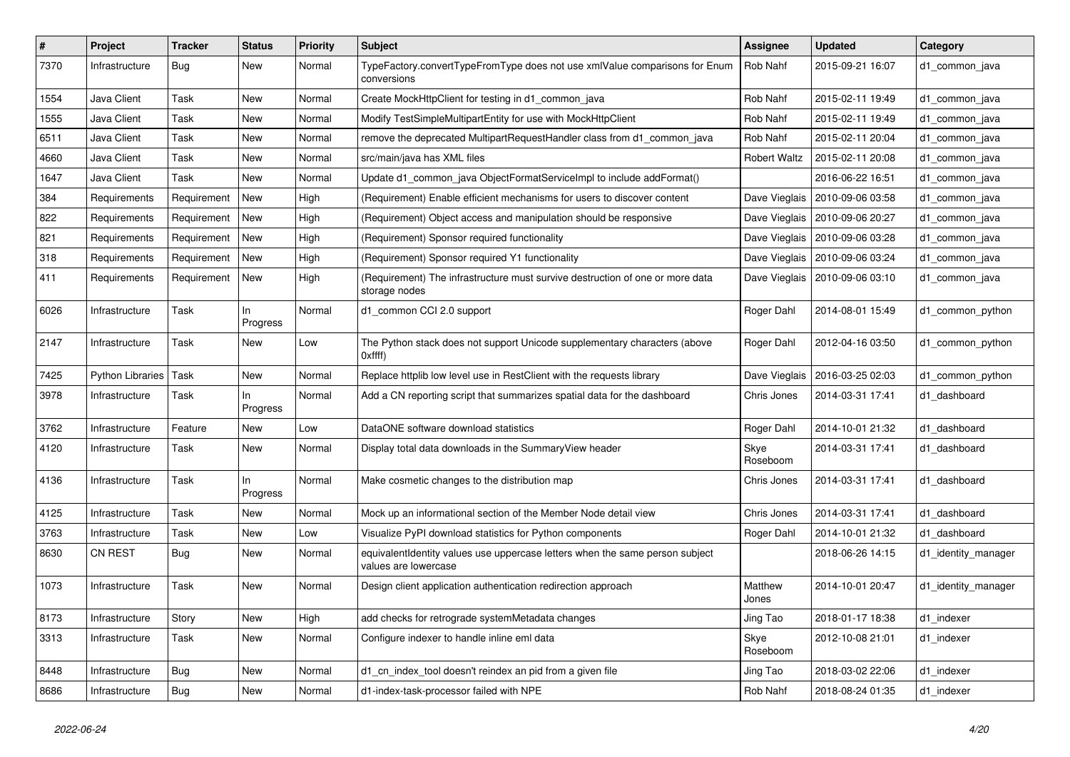| #    | Project                 | <b>Tracker</b> | <b>Status</b>   | <b>Priority</b> | <b>Subject</b>                                                                                       | Assignee            | <b>Updated</b>                   | Category            |
|------|-------------------------|----------------|-----------------|-----------------|------------------------------------------------------------------------------------------------------|---------------------|----------------------------------|---------------------|
| 7370 | Infrastructure          | <b>Bug</b>     | <b>New</b>      | Normal          | TypeFactory.convertTypeFromType does not use xmlValue comparisons for Enum<br>conversions            | Rob Nahf            | 2015-09-21 16:07                 | d1 common java      |
| 1554 | Java Client             | Task           | New             | Normal          | Create MockHttpClient for testing in d1_common_java                                                  | Rob Nahf            | 2015-02-11 19:49                 | d1_common_java      |
| 1555 | Java Client             | Task           | New             | Normal          | Modify TestSimpleMultipartEntity for use with MockHttpClient                                         | Rob Nahf            | 2015-02-11 19:49                 | d1_common_java      |
| 6511 | Java Client             | Task           | New             | Normal          | remove the deprecated MultipartRequestHandler class from d1_common_java                              | Rob Nahf            | 2015-02-11 20:04                 | d1_common_java      |
| 4660 | Java Client             | Task           | <b>New</b>      | Normal          | src/main/java has XML files                                                                          | <b>Robert Waltz</b> | 2015-02-11 20:08                 | d1_common_java      |
| 1647 | Java Client             | Task           | New             | Normal          | Update d1_common_java ObjectFormatServiceImpl to include addFormat()                                 |                     | 2016-06-22 16:51                 | d1_common_java      |
| 384  | Requirements            | Requirement    | New             | High            | (Requirement) Enable efficient mechanisms for users to discover content                              | Dave Vieglais       | 2010-09-06 03:58                 | d1 common java      |
| 822  | Requirements            | Requirement    | New             | High            | (Requirement) Object access and manipulation should be responsive                                    | Dave Vieglais       | 2010-09-06 20:27                 | d1 common java      |
| 821  | Requirements            | Requirement    | New             | High            | (Requirement) Sponsor required functionality                                                         |                     | Dave Vieglais   2010-09-06 03:28 | d1 common java      |
| 318  | Requirements            | Requirement    | <b>New</b>      | High            | (Requirement) Sponsor required Y1 functionality                                                      | Dave Vieglais       | 2010-09-06 03:24                 | d1 common java      |
| 411  | Requirements            | Requirement    | New             | High            | (Requirement) The infrastructure must survive destruction of one or more data<br>storage nodes       | Dave Vieglais       | 2010-09-06 03:10                 | d1 common java      |
| 6026 | Infrastructure          | Task           | In.<br>Progress | Normal          | d1_common CCI 2.0 support                                                                            | Roger Dahl          | 2014-08-01 15:49                 | d1 common python    |
| 2147 | Infrastructure          | Task           | New             | Low             | The Python stack does not support Unicode supplementary characters (above<br>Oxffff)                 | Roger Dahl          | 2012-04-16 03:50                 | d1 common python    |
| 7425 | <b>Python Libraries</b> | Task           | <b>New</b>      | Normal          | Replace httplib low level use in RestClient with the requests library                                | Dave Vieglais       | 2016-03-25 02:03                 | d1_common_python    |
| 3978 | Infrastructure          | Task           | In.<br>Progress | Normal          | Add a CN reporting script that summarizes spatial data for the dashboard                             | Chris Jones         | 2014-03-31 17:41                 | d1 dashboard        |
| 3762 | Infrastructure          | Feature        | New             | Low             | DataONE software download statistics                                                                 | Roger Dahl          | 2014-10-01 21:32                 | d1 dashboard        |
| 4120 | Infrastructure          | Task           | New             | Normal          | Display total data downloads in the Summary View header                                              | Skye<br>Roseboom    | 2014-03-31 17:41                 | d1 dashboard        |
| 4136 | Infrastructure          | Task           | In<br>Progress  | Normal          | Make cosmetic changes to the distribution map                                                        | Chris Jones         | 2014-03-31 17:41                 | d1 dashboard        |
| 4125 | Infrastructure          | Task           | New             | Normal          | Mock up an informational section of the Member Node detail view                                      | Chris Jones         | 2014-03-31 17:41                 | d1 dashboard        |
| 3763 | Infrastructure          | Task           | New             | Low             | Visualize PyPI download statistics for Python components                                             | Roger Dahl          | 2014-10-01 21:32                 | d1 dashboard        |
| 8630 | CN REST                 | <b>Bug</b>     | New             | Normal          | equivalentIdentity values use uppercase letters when the same person subject<br>values are lowercase |                     | 2018-06-26 14:15                 | d1_identity_manager |
| 1073 | Infrastructure          | Task           | <b>New</b>      | Normal          | Design client application authentication redirection approach                                        | Matthew<br>Jones    | 2014-10-01 20:47                 | d1_identity_manager |
| 8173 | Infrastructure          | Story          | New             | High            | add checks for retrograde systemMetadata changes                                                     | Jing Tao            | 2018-01-17 18:38                 | d1 indexer          |
| 3313 | Infrastructure          | Task           | <b>New</b>      | Normal          | Configure indexer to handle inline eml data                                                          | Skye<br>Roseboom    | 2012-10-08 21:01                 | d1 indexer          |
| 8448 | Infrastructure          | Bug            | <b>New</b>      | Normal          | d1 cn index tool doesn't reindex an pid from a given file                                            | Jing Tao            | 2018-03-02 22:06                 | d1_indexer          |
| 8686 | Infrastructure          | Bug            | <b>New</b>      | Normal          | d1-index-task-processor failed with NPE                                                              | Rob Nahf            | 2018-08-24 01:35                 | d1 indexer          |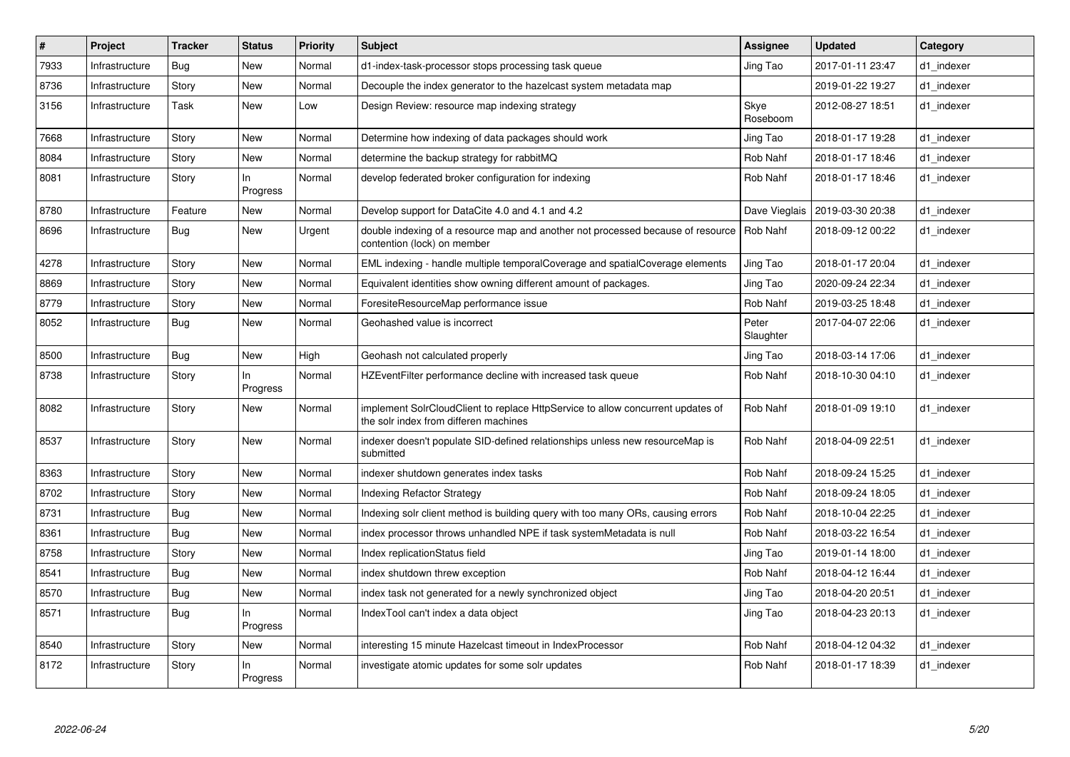| $\vert$ # | Project        | <b>Tracker</b> | <b>Status</b>   | <b>Priority</b> | <b>Subject</b>                                                                                                           | <b>Assignee</b>    | <b>Updated</b>   | Category   |
|-----------|----------------|----------------|-----------------|-----------------|--------------------------------------------------------------------------------------------------------------------------|--------------------|------------------|------------|
| 7933      | Infrastructure | <b>Bug</b>     | New             | Normal          | d1-index-task-processor stops processing task queue                                                                      | Jing Tao           | 2017-01-11 23:47 | d1 indexer |
| 8736      | Infrastructure | Story          | <b>New</b>      | Normal          | Decouple the index generator to the hazelcast system metadata map                                                        |                    | 2019-01-22 19:27 | d1 indexer |
| 3156      | Infrastructure | Task           | New             | Low             | Design Review: resource map indexing strategy                                                                            | Skye<br>Roseboom   | 2012-08-27 18:51 | d1 indexer |
| 7668      | Infrastructure | Story          | <b>New</b>      | Normal          | Determine how indexing of data packages should work                                                                      | Jing Tao           | 2018-01-17 19:28 | d1 indexer |
| 8084      | Infrastructure | Story          | New             | Normal          | determine the backup strategy for rabbitMQ                                                                               | Rob Nahf           | 2018-01-17 18:46 | d1 indexer |
| 8081      | Infrastructure | Story          | ln.<br>Progress | Normal          | develop federated broker configuration for indexing                                                                      | Rob Nahf           | 2018-01-17 18:46 | d1 indexer |
| 8780      | Infrastructure | Feature        | New             | Normal          | Develop support for DataCite 4.0 and 4.1 and 4.2                                                                         | Dave Vieglais      | 2019-03-30 20:38 | d1_indexer |
| 8696      | Infrastructure | <b>Bug</b>     | New             | Urgent          | double indexing of a resource map and another not processed because of resource<br>contention (lock) on member           | Rob Nahf           | 2018-09-12 00:22 | d1_indexer |
| 4278      | Infrastructure | Story          | New             | Normal          | EML indexing - handle multiple temporalCoverage and spatialCoverage elements                                             | Jing Tao           | 2018-01-17 20:04 | d1 indexer |
| 8869      | Infrastructure | Story          | New             | Normal          | Equivalent identities show owning different amount of packages.                                                          | Jing Tao           | 2020-09-24 22:34 | d1_indexer |
| 8779      | Infrastructure | Story          | New             | Normal          | ForesiteResourceMap performance issue                                                                                    | Rob Nahf           | 2019-03-25 18:48 | d1 indexer |
| 8052      | Infrastructure | Bug            | New             | Normal          | Geohashed value is incorrect                                                                                             | Peter<br>Slaughter | 2017-04-07 22:06 | d1_indexer |
| 8500      | Infrastructure | <b>Bug</b>     | New             | High            | Geohash not calculated properly                                                                                          | Jing Tao           | 2018-03-14 17:06 | d1_indexer |
| 8738      | Infrastructure | Story          | In<br>Progress  | Normal          | HZEventFilter performance decline with increased task queue                                                              | Rob Nahf           | 2018-10-30 04:10 | d1 indexer |
| 8082      | Infrastructure | Story          | New             | Normal          | implement SolrCloudClient to replace HttpService to allow concurrent updates of<br>the solr index from differen machines | Rob Nahf           | 2018-01-09 19:10 | d1_indexer |
| 8537      | Infrastructure | Story          | New             | Normal          | indexer doesn't populate SID-defined relationships unless new resourceMap is<br>submitted                                | Rob Nahf           | 2018-04-09 22:51 | d1 indexer |
| 8363      | Infrastructure | Story          | New             | Normal          | indexer shutdown generates index tasks                                                                                   | Rob Nahf           | 2018-09-24 15:25 | d1 indexer |
| 8702      | Infrastructure | Story          | New             | Normal          | <b>Indexing Refactor Strategy</b>                                                                                        | Rob Nahf           | 2018-09-24 18:05 | d1_indexer |
| 8731      | Infrastructure | <b>Bug</b>     | New             | Normal          | Indexing solr client method is building query with too many ORs, causing errors                                          | Rob Nahf           | 2018-10-04 22:25 | d1_indexer |
| 8361      | Infrastructure | <b>Bug</b>     | New             | Normal          | index processor throws unhandled NPE if task systemMetadata is null                                                      | Rob Nahf           | 2018-03-22 16:54 | d1_indexer |
| 8758      | Infrastructure | Story          | New             | Normal          | Index replicationStatus field                                                                                            | Jing Tao           | 2019-01-14 18:00 | d1 indexer |
| 8541      | Infrastructure | <b>Bug</b>     | New             | Normal          | index shutdown threw exception                                                                                           | Rob Nahf           | 2018-04-12 16:44 | d1_indexer |
| 8570      | Infrastructure | Bug            | New             | Normal          | index task not generated for a newly synchronized object                                                                 | Jing Tao           | 2018-04-20 20:51 | d1 indexer |
| 8571      | Infrastructure | Bug            | ln.<br>Progress | Normal          | IndexTool can't index a data object                                                                                      | Jing Tao           | 2018-04-23 20:13 | d1 indexer |
| 8540      | Infrastructure | Story          | New             | Normal          | interesting 15 minute Hazelcast timeout in IndexProcessor                                                                | Rob Nahf           | 2018-04-12 04:32 | d1 indexer |
| 8172      | Infrastructure | Story          | ln.<br>Progress | Normal          | investigate atomic updates for some solr updates                                                                         | Rob Nahf           | 2018-01-17 18:39 | d1_indexer |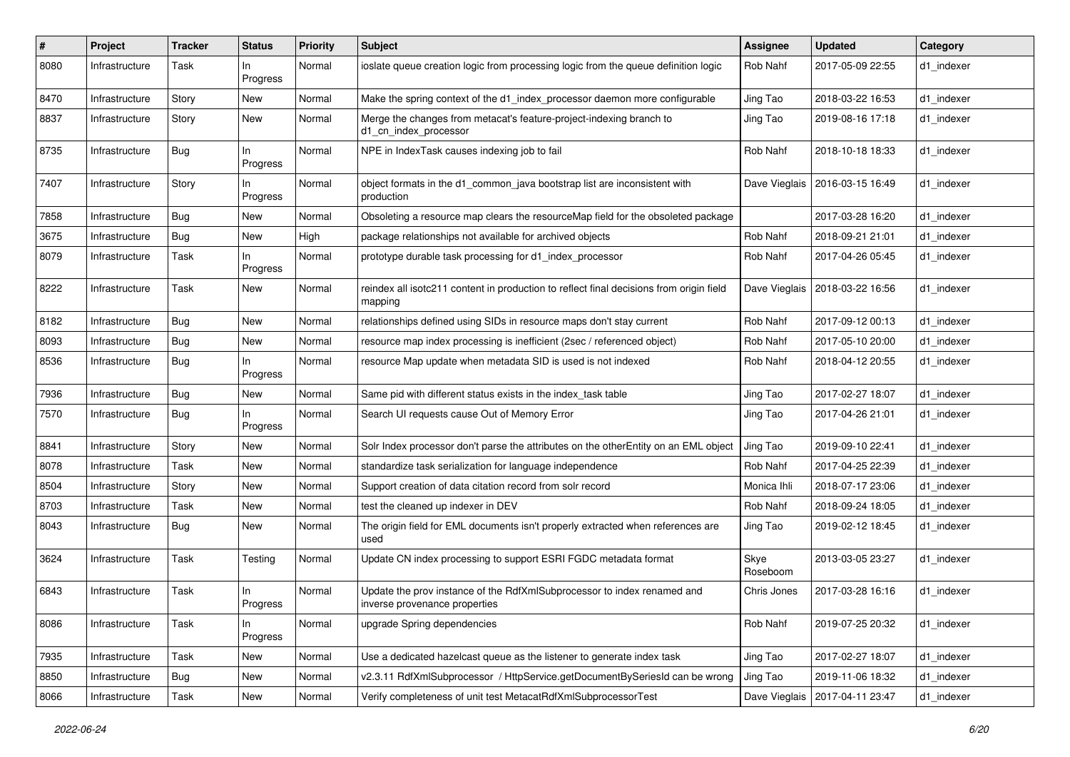| #    | Project        | <b>Tracker</b> | <b>Status</b>   | <b>Priority</b> | Subject                                                                                                  | <b>Assignee</b>  | <b>Updated</b>                   | Category   |
|------|----------------|----------------|-----------------|-----------------|----------------------------------------------------------------------------------------------------------|------------------|----------------------------------|------------|
| 8080 | Infrastructure | Task           | In.<br>Progress | Normal          | ioslate queue creation logic from processing logic from the queue definition logic                       | Rob Nahf         | 2017-05-09 22:55                 | d1 indexer |
| 8470 | Infrastructure | Story          | New             | Normal          | Make the spring context of the d1 index processor daemon more configurable                               | Jing Tao         | 2018-03-22 16:53                 | d1 indexer |
| 8837 | Infrastructure | Story          | New             | Normal          | Merge the changes from metacat's feature-project-indexing branch to<br>d1_cn_index_processor             | Jing Tao         | 2019-08-16 17:18                 | d1 indexer |
| 8735 | Infrastructure | Bug            | ln.<br>Progress | Normal          | NPE in IndexTask causes indexing job to fail                                                             | Rob Nahf         | 2018-10-18 18:33                 | d1_indexer |
| 7407 | Infrastructure | Story          | ln.<br>Progress | Normal          | object formats in the d1_common_java bootstrap list are inconsistent with<br>production                  | Dave Vieglais    | 2016-03-15 16:49                 | d1_indexer |
| 7858 | Infrastructure | <b>Bug</b>     | New             | Normal          | Obsoleting a resource map clears the resourceMap field for the obsoleted package                         |                  | 2017-03-28 16:20                 | d1 indexer |
| 3675 | Infrastructure | <b>Bug</b>     | New             | High            | package relationships not available for archived objects                                                 | Rob Nahf         | 2018-09-21 21:01                 | d1 indexer |
| 8079 | Infrastructure | Task           | ln.<br>Progress | Normal          | prototype durable task processing for d1_index_processor                                                 | Rob Nahf         | 2017-04-26 05:45                 | d1_indexer |
| 8222 | Infrastructure | Task           | New             | Normal          | reindex all isotc211 content in production to reflect final decisions from origin field<br>mapping       |                  | Dave Vieglais   2018-03-22 16:56 | d1_indexer |
| 8182 | Infrastructure | Bug            | New             | Normal          | relationships defined using SIDs in resource maps don't stay current                                     | Rob Nahf         | 2017-09-12 00:13                 | d1_indexer |
| 8093 | Infrastructure | <b>Bug</b>     | New             | Normal          | resource map index processing is inefficient (2sec / referenced object)                                  | Rob Nahf         | 2017-05-10 20:00                 | d1 indexer |
| 8536 | Infrastructure | Bug            | In<br>Progress  | Normal          | resource Map update when metadata SID is used is not indexed                                             | Rob Nahf         | 2018-04-12 20:55                 | d1 indexer |
| 7936 | Infrastructure | Bug            | New             | Normal          | Same pid with different status exists in the index_task table                                            | Jing Tao         | 2017-02-27 18:07                 | d1_indexer |
| 7570 | Infrastructure | <b>Bug</b>     | ln.<br>Progress | Normal          | Search UI requests cause Out of Memory Error                                                             | Jing Tao         | 2017-04-26 21:01                 | d1 indexer |
| 8841 | Infrastructure | Story          | New             | Normal          | Solr Index processor don't parse the attributes on the otherEntity on an EML object                      | Jing Tao         | 2019-09-10 22:41                 | d1_indexer |
| 8078 | Infrastructure | Task           | New             | Normal          | standardize task serialization for language independence                                                 | Rob Nahf         | 2017-04-25 22:39                 | d1 indexer |
| 8504 | Infrastructure | Story          | New             | Normal          | Support creation of data citation record from solr record                                                | Monica Ihli      | 2018-07-17 23:06                 | d1 indexer |
| 8703 | Infrastructure | Task           | New             | Normal          | test the cleaned up indexer in DEV                                                                       | Rob Nahf         | 2018-09-24 18:05                 | d1 indexer |
| 8043 | Infrastructure | <b>Bug</b>     | New             | Normal          | The origin field for EML documents isn't properly extracted when references are<br>used                  | Jing Tao         | 2019-02-12 18:45                 | d1 indexer |
| 3624 | Infrastructure | Task           | Testing         | Normal          | Update CN index processing to support ESRI FGDC metadata format                                          | Skye<br>Roseboom | 2013-03-05 23:27                 | d1_indexer |
| 6843 | Infrastructure | Task           | ln.<br>Progress | Normal          | Update the prov instance of the RdfXmlSubprocessor to index renamed and<br>inverse provenance properties | Chris Jones      | 2017-03-28 16:16                 | d1_indexer |
| 8086 | Infrastructure | Task           | In<br>Progress  | Normal          | upgrade Spring dependencies                                                                              | Rob Nahf         | 2019-07-25 20:32                 | d1 indexer |
| 7935 | Infrastructure | Task           | New             | Normal          | Use a dedicated hazelcast queue as the listener to generate index task                                   | Jing Tao         | 2017-02-27 18:07                 | d1_indexer |
| 8850 | Infrastructure | <b>Bug</b>     | New             | Normal          | v2.3.11 RdfXmlSubprocessor / HttpService.getDocumentBySeriesId can be wrong                              | Jing Tao         | 2019-11-06 18:32                 | d1 indexer |
| 8066 | Infrastructure | Task           | New             | Normal          | Verify completeness of unit test MetacatRdfXmlSubprocessorTest                                           |                  | Dave Vieglais   2017-04-11 23:47 | d1_indexer |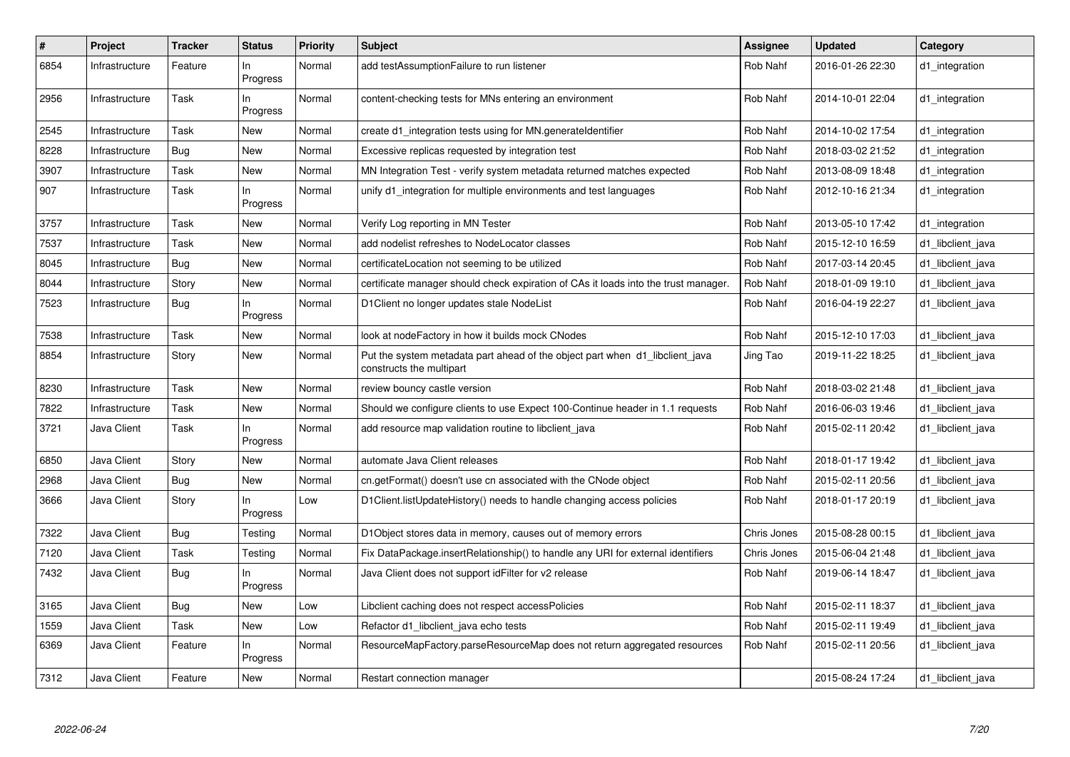| $\sharp$ | Project        | <b>Tracker</b> | <b>Status</b>   | <b>Priority</b> | <b>Subject</b>                                                                                           | <b>Assignee</b> | <b>Updated</b>   | Category          |
|----------|----------------|----------------|-----------------|-----------------|----------------------------------------------------------------------------------------------------------|-----------------|------------------|-------------------|
| 6854     | Infrastructure | Feature        | In.<br>Progress | Normal          | add testAssumptionFailure to run listener                                                                | Rob Nahf        | 2016-01-26 22:30 | d1 integration    |
| 2956     | Infrastructure | Task           | In.<br>Progress | Normal          | content-checking tests for MNs entering an environment                                                   | Rob Nahf        | 2014-10-01 22:04 | d1_integration    |
| 2545     | Infrastructure | Task           | <b>New</b>      | Normal          | create d1 integration tests using for MN generateldentifier                                              | Rob Nahf        | 2014-10-02 17:54 | d1 integration    |
| 8228     | Infrastructure | Bug            | New             | Normal          | Excessive replicas requested by integration test                                                         | Rob Nahf        | 2018-03-02 21:52 | d1_integration    |
| 3907     | Infrastructure | Task           | New             | Normal          | MN Integration Test - verify system metadata returned matches expected                                   | Rob Nahf        | 2013-08-09 18:48 | d1_integration    |
| 907      | Infrastructure | Task           | In.<br>Progress | Normal          | unify d1 integration for multiple environments and test languages                                        | Rob Nahf        | 2012-10-16 21:34 | d1 integration    |
| 3757     | Infrastructure | Task           | <b>New</b>      | Normal          | Verify Log reporting in MN Tester                                                                        | Rob Nahf        | 2013-05-10 17:42 | d1_integration    |
| 7537     | Infrastructure | Task           | <b>New</b>      | Normal          | add nodelist refreshes to NodeLocator classes                                                            | Rob Nahf        | 2015-12-10 16:59 | d1 libclient java |
| 8045     | Infrastructure | <b>Bug</b>     | <b>New</b>      | Normal          | certificateLocation not seeming to be utilized                                                           | Rob Nahf        | 2017-03-14 20:45 | d1_libclient_java |
| 8044     | Infrastructure | Story          | <b>New</b>      | Normal          | certificate manager should check expiration of CAs it loads into the trust manager.                      | Rob Nahf        | 2018-01-09 19:10 | d1_libclient_java |
| 7523     | Infrastructure | Bug            | In.<br>Progress | Normal          | D1Client no longer updates stale NodeList                                                                | Rob Nahf        | 2016-04-19 22:27 | d1 libclient java |
| 7538     | Infrastructure | Task           | <b>New</b>      | Normal          | look at nodeFactory in how it builds mock CNodes                                                         | Rob Nahf        | 2015-12-10 17:03 | d1_libclient_java |
| 8854     | Infrastructure | Story          | New             | Normal          | Put the system metadata part ahead of the object part when d1_libclient_java<br>constructs the multipart | Jing Tao        | 2019-11-22 18:25 | d1 libclient java |
| 8230     | Infrastructure | Task           | New             | Normal          | review bouncy castle version                                                                             | Rob Nahf        | 2018-03-02 21:48 | d1_libclient_java |
| 7822     | Infrastructure | Task           | <b>New</b>      | Normal          | Should we configure clients to use Expect 100-Continue header in 1.1 requests                            | Rob Nahf        | 2016-06-03 19:46 | d1 libclient java |
| 3721     | Java Client    | Task           | In.<br>Progress | Normal          | add resource map validation routine to libclient java                                                    | Rob Nahf        | 2015-02-11 20:42 | d1 libclient java |
| 6850     | Java Client    | Story          | <b>New</b>      | Normal          | automate Java Client releases                                                                            | Rob Nahf        | 2018-01-17 19:42 | d1 libclient java |
| 2968     | Java Client    | Bug            | New             | Normal          | cn.getFormat() doesn't use cn associated with the CNode object                                           | Rob Nahf        | 2015-02-11 20:56 | d1 libclient java |
| 3666     | Java Client    | Story          | In<br>Progress  | Low             | D1Client.listUpdateHistory() needs to handle changing access policies                                    | Rob Nahf        | 2018-01-17 20:19 | d1_libclient_java |
| 7322     | Java Client    | <b>Bug</b>     | Testing         | Normal          | D1Object stores data in memory, causes out of memory errors                                              | Chris Jones     | 2015-08-28 00:15 | d1 libclient java |
| 7120     | Java Client    | Task           | Testing         | Normal          | Fix DataPackage.insertRelationship() to handle any URI for external identifiers                          | Chris Jones     | 2015-06-04 21:48 | d1_libclient_java |
| 7432     | Java Client    | Bug            | In<br>Progress  | Normal          | Java Client does not support idFilter for v2 release                                                     | Rob Nahf        | 2019-06-14 18:47 | d1 libclient java |
| 3165     | Java Client    | Bug            | <b>New</b>      | Low             | Libclient caching does not respect accessPolicies                                                        | Rob Nahf        | 2015-02-11 18:37 | d1_libclient_java |
| 1559     | Java Client    | Task           | <b>New</b>      | Low             | Refactor d1_libclient_java echo tests                                                                    | Rob Nahf        | 2015-02-11 19:49 | d1_libclient_java |
| 6369     | Java Client    | Feature        | In<br>Progress  | Normal          | ResourceMapFactory.parseResourceMap does not return aggregated resources                                 | Rob Nahf        | 2015-02-11 20:56 | d1 libclient java |
| 7312     | Java Client    | Feature        | <b>New</b>      | Normal          | Restart connection manager                                                                               |                 | 2015-08-24 17:24 | d1_libclient_java |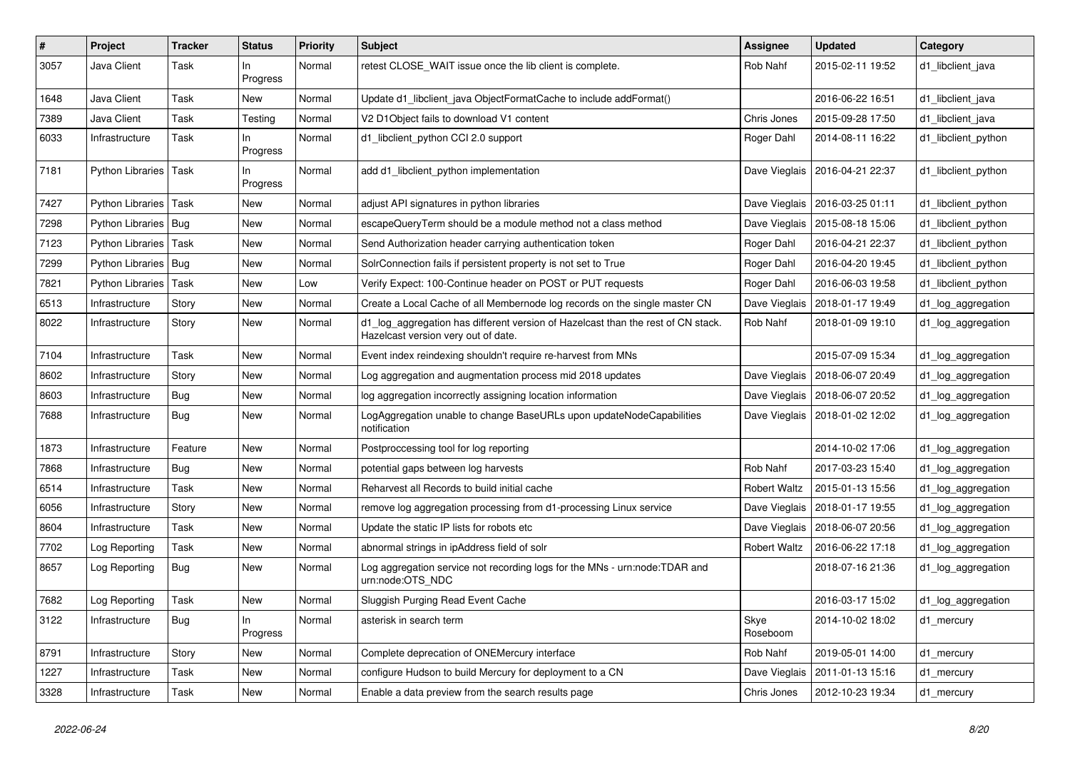| $\#$ | Project                 | <b>Tracker</b> | <b>Status</b>   | <b>Priority</b> | Subject                                                                                                                 | Assignee            | <b>Updated</b>                   | Category            |
|------|-------------------------|----------------|-----------------|-----------------|-------------------------------------------------------------------------------------------------------------------------|---------------------|----------------------------------|---------------------|
| 3057 | Java Client             | Task           | In.<br>Progress | Normal          | retest CLOSE WAIT issue once the lib client is complete.                                                                | Rob Nahf            | 2015-02-11 19:52                 | d1 libclient java   |
| 1648 | Java Client             | Task           | New             | Normal          | Update d1 libclient java ObjectFormatCache to include addFormat()                                                       |                     | 2016-06-22 16:51                 | d1 libclient java   |
| 7389 | Java Client             | Task           | Testing         | Normal          | V2 D1 Object fails to download V1 content                                                                               | Chris Jones         | 2015-09-28 17:50                 | d1 libclient java   |
| 6033 | Infrastructure          | Task           | ln.<br>Progress | Normal          | d1_libclient_python CCI 2.0 support                                                                                     | Roger Dahl          | 2014-08-11 16:22                 | d1 libclient python |
| 7181 | Python Libraries   Task |                | ln.<br>Progress | Normal          | add d1 libclient python implementation                                                                                  |                     | Dave Vieglais   2016-04-21 22:37 | d1 libclient python |
| 7427 | Python Libraries   Task |                | New             | Normal          | adjust API signatures in python libraries                                                                               | Dave Vieglais       | 2016-03-25 01:11                 | d1 libclient python |
| 7298 | Python Libraries   Bug  |                | New             | Normal          | escapeQueryTerm should be a module method not a class method                                                            | Dave Vieglais       | 2015-08-18 15:06                 | d1 libclient python |
| 7123 | Python Libraries        | Task           | New             | Normal          | Send Authorization header carrying authentication token                                                                 | Roger Dahl          | 2016-04-21 22:37                 | d1 libclient python |
| 7299 | Python Libraries   Bug  |                | New             | Normal          | SolrConnection fails if persistent property is not set to True                                                          | Roger Dahl          | 2016-04-20 19:45                 | d1 libclient python |
| 7821 | Python Libraries        | Task           | New             | Low             | Verify Expect: 100-Continue header on POST or PUT requests                                                              | Roger Dahl          | 2016-06-03 19:58                 | d1 libclient python |
| 6513 | Infrastructure          | Story          | New             | Normal          | Create a Local Cache of all Membernode log records on the single master CN                                              | Dave Vieglais       | 2018-01-17 19:49                 | d1_log_aggregation  |
| 8022 | Infrastructure          | Story          | New             | Normal          | d1_log_aggregation has different version of Hazelcast than the rest of CN stack.<br>Hazelcast version very out of date. | Rob Nahf            | 2018-01-09 19:10                 | d1_log_aggregation  |
| 7104 | Infrastructure          | Task           | <b>New</b>      | Normal          | Event index reindexing shouldn't require re-harvest from MNs                                                            |                     | 2015-07-09 15:34                 | d1_log_aggregation  |
| 8602 | Infrastructure          | Story          | New             | Normal          | Log aggregation and augmentation process mid 2018 updates                                                               | Dave Vieglais       | 2018-06-07 20:49                 | d1_log_aggregation  |
| 8603 | Infrastructure          | <b>Bug</b>     | New             | Normal          | log aggregation incorrectly assigning location information                                                              | Dave Vieglais       | 2018-06-07 20:52                 | d1_log_aggregation  |
| 7688 | Infrastructure          | Bug            | New             | Normal          | LogAggregation unable to change BaseURLs upon updateNodeCapabilities<br>notification                                    |                     | Dave Vieglais   2018-01-02 12:02 | d1_log_aggregation  |
| 1873 | Infrastructure          | Feature        | <b>New</b>      | Normal          | Postproccessing tool for log reporting                                                                                  |                     | 2014-10-02 17:06                 | d1_log_aggregation  |
| 7868 | Infrastructure          | Bug            | <b>New</b>      | Normal          | potential gaps between log harvests                                                                                     | Rob Nahf            | 2017-03-23 15:40                 | d1_log_aggregation  |
| 6514 | Infrastructure          | Task           | New             | Normal          | Reharvest all Records to build initial cache                                                                            | <b>Robert Waltz</b> | 2015-01-13 15:56                 | d1_log_aggregation  |
| 6056 | Infrastructure          | Story          | New             | Normal          | remove log aggregation processing from d1-processing Linux service                                                      | Dave Vieglais       | 2018-01-17 19:55                 | d1_log_aggregation  |
| 8604 | Infrastructure          | Task           | <b>New</b>      | Normal          | Update the static IP lists for robots etc                                                                               | Dave Vieglais       | 2018-06-07 20:56                 | d1_log_aggregation  |
| 7702 | Log Reporting           | Task           | New             | Normal          | abnormal strings in ipAddress field of solr                                                                             | <b>Robert Waltz</b> | 2016-06-22 17:18                 | d1_log_aggregation  |
| 8657 | Log Reporting           | <b>Bug</b>     | New             | Normal          | Log aggregation service not recording logs for the MNs - urn:node:TDAR and<br>urn:node:OTS_NDC                          |                     | 2018-07-16 21:36                 | d1_log_aggregation  |
| 7682 | Log Reporting           | Task           | <b>New</b>      | Normal          | Sluggish Purging Read Event Cache                                                                                       |                     | 2016-03-17 15:02                 | d1 log aggregation  |
| 3122 | Infrastructure          | <b>Bug</b>     | In<br>Progress  | Normal          | asterisk in search term                                                                                                 | Skye<br>Roseboom    | 2014-10-02 18:02                 | d1 mercury          |
| 8791 | Infrastructure          | Story          | New             | Normal          | Complete deprecation of ONEMercury interface                                                                            | Rob Nahf            | 2019-05-01 14:00                 | d1_mercury          |
| 1227 | Infrastructure          | Task           | New             | Normal          | configure Hudson to build Mercury for deployment to a CN                                                                | Dave Vieglais       | 2011-01-13 15:16                 | d1_mercury          |
| 3328 | Infrastructure          | Task           | New             | Normal          | Enable a data preview from the search results page                                                                      | Chris Jones         | 2012-10-23 19:34                 | d1_mercury          |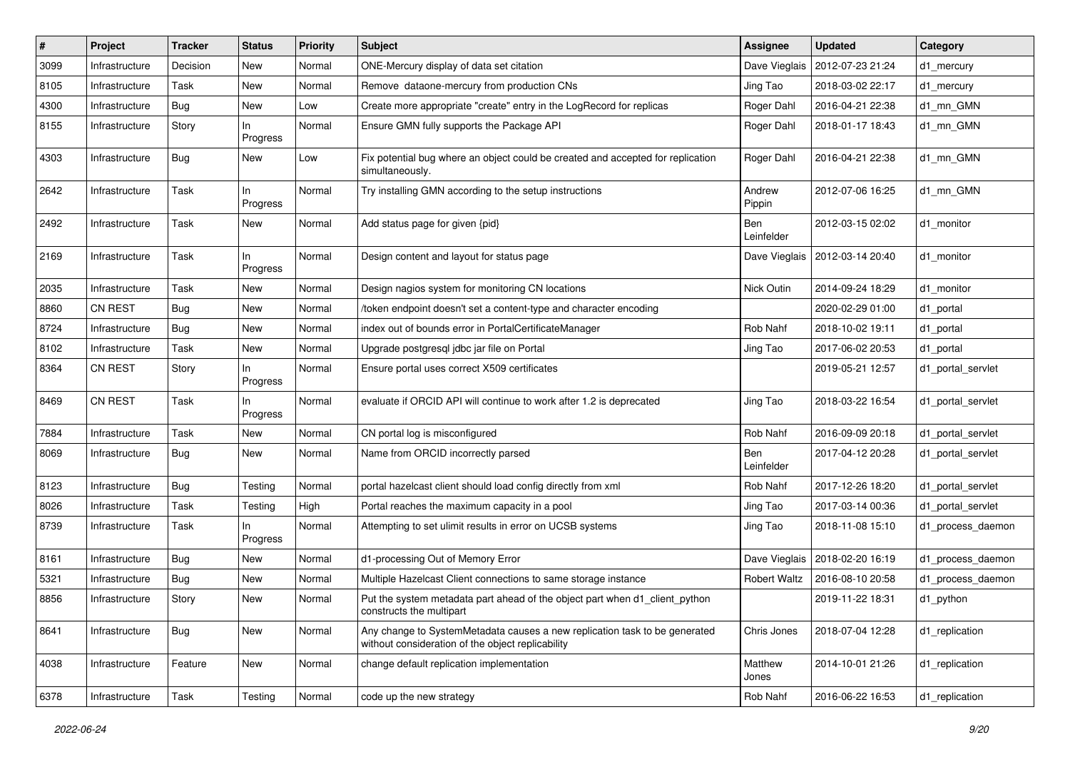| #    | Project        | Tracker    | <b>Status</b>   | <b>Priority</b> | <b>Subject</b>                                                                                                                  | <b>Assignee</b>     | <b>Updated</b>                   | Category          |
|------|----------------|------------|-----------------|-----------------|---------------------------------------------------------------------------------------------------------------------------------|---------------------|----------------------------------|-------------------|
| 3099 | Infrastructure | Decision   | New             | Normal          | ONE-Mercury display of data set citation                                                                                        | Dave Vieglais       | 2012-07-23 21:24                 | d1_mercury        |
| 8105 | Infrastructure | Task       | New             | Normal          | Remove dataone-mercury from production CNs                                                                                      | Jing Tao            | 2018-03-02 22:17                 | d1_mercury        |
| 4300 | Infrastructure | <b>Bug</b> | New             | Low             | Create more appropriate "create" entry in the LogRecord for replicas                                                            | Roger Dahl          | 2016-04-21 22:38                 | d1_mn_GMN         |
| 8155 | Infrastructure | Story      | In<br>Progress  | Normal          | Ensure GMN fully supports the Package API                                                                                       | Roger Dahl          | 2018-01-17 18:43                 | d1 mn GMN         |
| 4303 | Infrastructure | <b>Bug</b> | New             | Low             | Fix potential bug where an object could be created and accepted for replication<br>simultaneously.                              | Roger Dahl          | 2016-04-21 22:38                 | d1_mn_GMN         |
| 2642 | Infrastructure | Task       | ln.<br>Progress | Normal          | Try installing GMN according to the setup instructions                                                                          | Andrew<br>Pippin    | 2012-07-06 16:25                 | d1 mn GMN         |
| 2492 | Infrastructure | Task       | New             | Normal          | Add status page for given {pid}                                                                                                 | Ben<br>Leinfelder   | 2012-03-15 02:02                 | d1 monitor        |
| 2169 | Infrastructure | Task       | ln.<br>Progress | Normal          | Design content and layout for status page                                                                                       |                     | Dave Vieglais   2012-03-14 20:40 | d1 monitor        |
| 2035 | Infrastructure | Task       | New             | Normal          | Design nagios system for monitoring CN locations                                                                                | Nick Outin          | 2014-09-24 18:29                 | d1 monitor        |
| 8860 | <b>CN REST</b> | <b>Bug</b> | New             | Normal          | /token endpoint doesn't set a content-type and character encoding                                                               |                     | 2020-02-29 01:00                 | d1 portal         |
| 8724 | Infrastructure | <b>Bug</b> | New             | Normal          | index out of bounds error in PortalCertificateManager                                                                           | Rob Nahf            | 2018-10-02 19:11                 | d1_portal         |
| 8102 | Infrastructure | Task       | New             | Normal          | Upgrade postgresql jdbc jar file on Portal                                                                                      | Jing Tao            | 2017-06-02 20:53                 | d1 portal         |
| 8364 | <b>CN REST</b> | Story      | Progress        | Normal          | Ensure portal uses correct X509 certificates                                                                                    |                     | 2019-05-21 12:57                 | d1_portal_servlet |
| 8469 | CN REST        | Task       | In.<br>Progress | Normal          | evaluate if ORCID API will continue to work after 1.2 is deprecated                                                             | Jing Tao            | 2018-03-22 16:54                 | d1_portal_servlet |
| 7884 | Infrastructure | Task       | New             | Normal          | CN portal log is misconfigured                                                                                                  | Rob Nahf            | 2016-09-09 20:18                 | d1_portal_servlet |
| 8069 | Infrastructure | <b>Bug</b> | New             | Normal          | Name from ORCID incorrectly parsed                                                                                              | Ben<br>Leinfelder   | 2017-04-12 20:28                 | d1_portal_servlet |
| 8123 | Infrastructure | <b>Bug</b> | Testing         | Normal          | portal hazelcast client should load config directly from xml                                                                    | Rob Nahf            | 2017-12-26 18:20                 | d1_portal_servlet |
| 8026 | Infrastructure | Task       | Testing         | High            | Portal reaches the maximum capacity in a pool                                                                                   | Jing Tao            | 2017-03-14 00:36                 | d1_portal_servlet |
| 8739 | Infrastructure | Task       | In<br>Progress  | Normal          | Attempting to set ulimit results in error on UCSB systems                                                                       | Jing Tao            | 2018-11-08 15:10                 | d1_process_daemon |
| 8161 | Infrastructure | Bug        | New             | Normal          | d1-processing Out of Memory Error                                                                                               |                     | Dave Vieglais   2018-02-20 16:19 | d1_process_daemon |
| 5321 | Infrastructure | <b>Bug</b> | New             | Normal          | Multiple Hazelcast Client connections to same storage instance                                                                  | <b>Robert Waltz</b> | 2016-08-10 20:58                 | d1_process_daemon |
| 8856 | Infrastructure | Story      | New             | Normal          | Put the system metadata part ahead of the object part when d1_client_python<br>constructs the multipart                         |                     | 2019-11-22 18:31                 | d1 python         |
| 8641 | Infrastructure | <b>Bug</b> | New             | Normal          | Any change to SystemMetadata causes a new replication task to be generated<br>without consideration of the object replicability | Chris Jones         | 2018-07-04 12:28                 | d1_replication    |
| 4038 | Infrastructure | Feature    | New             | Normal          | change default replication implementation                                                                                       | Matthew<br>Jones    | 2014-10-01 21:26                 | d1_replication    |
| 6378 | Infrastructure | Task       | Testing         | Normal          | code up the new strategy                                                                                                        | Rob Nahf            | 2016-06-22 16:53                 | d1_replication    |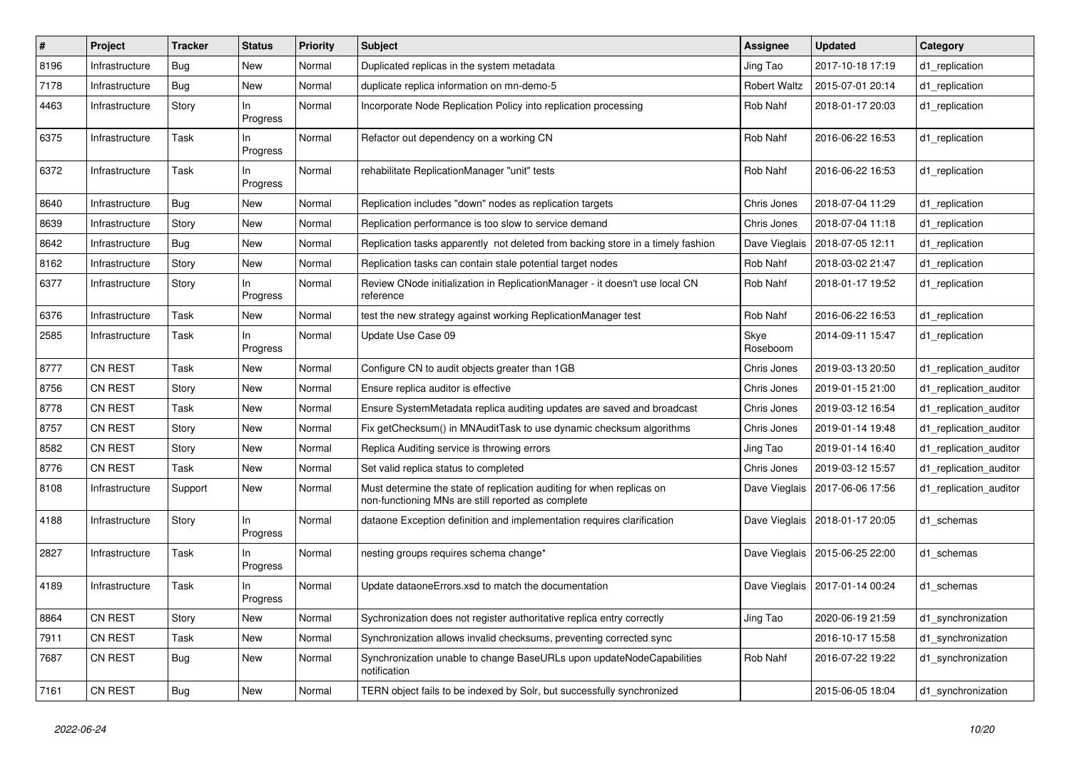| $\vert$ # | Project        | <b>Tracker</b> | Status          | <b>Priority</b> | <b>Subject</b>                                                                                                              | <b>Assignee</b>     | Updated                          | Category               |
|-----------|----------------|----------------|-----------------|-----------------|-----------------------------------------------------------------------------------------------------------------------------|---------------------|----------------------------------|------------------------|
| 8196      | Infrastructure | Bug            | New             | Normal          | Duplicated replicas in the system metadata                                                                                  | Jing Tao            | 2017-10-18 17:19                 | d1_replication         |
| 7178      | Infrastructure | <b>Bug</b>     | New             | Normal          | duplicate replica information on mn-demo-5                                                                                  | <b>Robert Waltz</b> | 2015-07-01 20:14                 | d1_replication         |
| 4463      | Infrastructure | Story          | ln.<br>Progress | Normal          | Incorporate Node Replication Policy into replication processing                                                             | Rob Nahf            | 2018-01-17 20:03                 | d1 replication         |
| 6375      | Infrastructure | Task           | ln.<br>Progress | Normal          | Refactor out dependency on a working CN                                                                                     | Rob Nahf            | 2016-06-22 16:53                 | d1_replication         |
| 6372      | Infrastructure | Task           | In<br>Progress  | Normal          | rehabilitate ReplicationManager "unit" tests                                                                                | Rob Nahf            | 2016-06-22 16:53                 | d1_replication         |
| 8640      | Infrastructure | <b>Bug</b>     | New             | Normal          | Replication includes "down" nodes as replication targets                                                                    | Chris Jones         | 2018-07-04 11:29                 | d1_replication         |
| 8639      | Infrastructure | Story          | New             | Normal          | Replication performance is too slow to service demand                                                                       | Chris Jones         | 2018-07-04 11:18                 | d1_replication         |
| 8642      | Infrastructure | <b>Bug</b>     | New             | Normal          | Replication tasks apparently not deleted from backing store in a timely fashion                                             | Dave Vieglais       | 2018-07-05 12:11                 | d1_replication         |
| 8162      | Infrastructure | Story          | New             | Normal          | Replication tasks can contain stale potential target nodes                                                                  | Rob Nahf            | 2018-03-02 21:47                 | d1_replication         |
| 6377      | Infrastructure | Story          | ln.<br>Progress | Normal          | Review CNode initialization in ReplicationManager - it doesn't use local CN<br>reference                                    | Rob Nahf            | 2018-01-17 19:52                 | d1 replication         |
| 6376      | Infrastructure | Task           | New             | Normal          | test the new strategy against working ReplicationManager test                                                               | Rob Nahf            | 2016-06-22 16:53                 | d1_replication         |
| 2585      | Infrastructure | Task           | In<br>Progress  | Normal          | Update Use Case 09                                                                                                          | Skye<br>Roseboom    | 2014-09-11 15:47                 | d1 replication         |
| 8777      | <b>CN REST</b> | Task           | New             | Normal          | Configure CN to audit objects greater than 1GB                                                                              | Chris Jones         | 2019-03-13 20:50                 | d1 replication auditor |
| 8756      | <b>CN REST</b> | Story          | New             | Normal          | Ensure replica auditor is effective                                                                                         | Chris Jones         | 2019-01-15 21:00                 | d1 replication auditor |
| 8778      | <b>CN REST</b> | Task           | New             | Normal          | Ensure SystemMetadata replica auditing updates are saved and broadcast                                                      | Chris Jones         | 2019-03-12 16:54                 | d1_replication_auditor |
| 8757      | CN REST        | Story          | New             | Normal          | Fix getChecksum() in MNAuditTask to use dynamic checksum algorithms                                                         | Chris Jones         | 2019-01-14 19:48                 | d1_replication_auditor |
| 8582      | <b>CN REST</b> | Story          | New             | Normal          | Replica Auditing service is throwing errors                                                                                 | Jing Tao            | 2019-01-14 16:40                 | d1 replication auditor |
| 8776      | CN REST        | Task           | New             | Normal          | Set valid replica status to completed                                                                                       | Chris Jones         | 2019-03-12 15:57                 | d1_replication_auditor |
| 8108      | Infrastructure | Support        | New             | Normal          | Must determine the state of replication auditing for when replicas on<br>non-functioning MNs are still reported as complete | Dave Vieglais       | 2017-06-06 17:56                 | d1 replication auditor |
| 4188      | Infrastructure | Story          | In<br>Progress  | Normal          | dataone Exception definition and implementation requires clarification                                                      |                     | Dave Vieglais   2018-01-17 20:05 | d1_schemas             |
| 2827      | Infrastructure | Task           | In<br>Progress  | Normal          | nesting groups requires schema change*                                                                                      |                     | Dave Vieglais   2015-06-25 22:00 | d1_schemas             |
| 4189      | Infrastructure | Task           | ln.<br>Progress | Normal          | Update dataoneErrors.xsd to match the documentation                                                                         |                     | Dave Vieglais   2017-01-14 00:24 | d1 schemas             |
| 8864      | CN REST        | Story          | New             | Normal          | Sychronization does not register authoritative replica entry correctly                                                      | Jing Tao            | 2020-06-19 21:59                 | d1 synchronization     |
| 7911      | <b>CN REST</b> | Task           | New             | Normal          | Synchronization allows invalid checksums, preventing corrected sync                                                         |                     | 2016-10-17 15:58                 | d1 synchronization     |
| 7687      | CN REST        | <b>Bug</b>     | New             | Normal          | Synchronization unable to change BaseURLs upon updateNodeCapabilities<br>notification                                       | Rob Nahf            | 2016-07-22 19:22                 | d1 synchronization     |
| 7161      | CN REST        | <b>Bug</b>     | New             | Normal          | TERN object fails to be indexed by Solr, but successfully synchronized                                                      |                     | 2015-06-05 18:04                 | d1 synchronization     |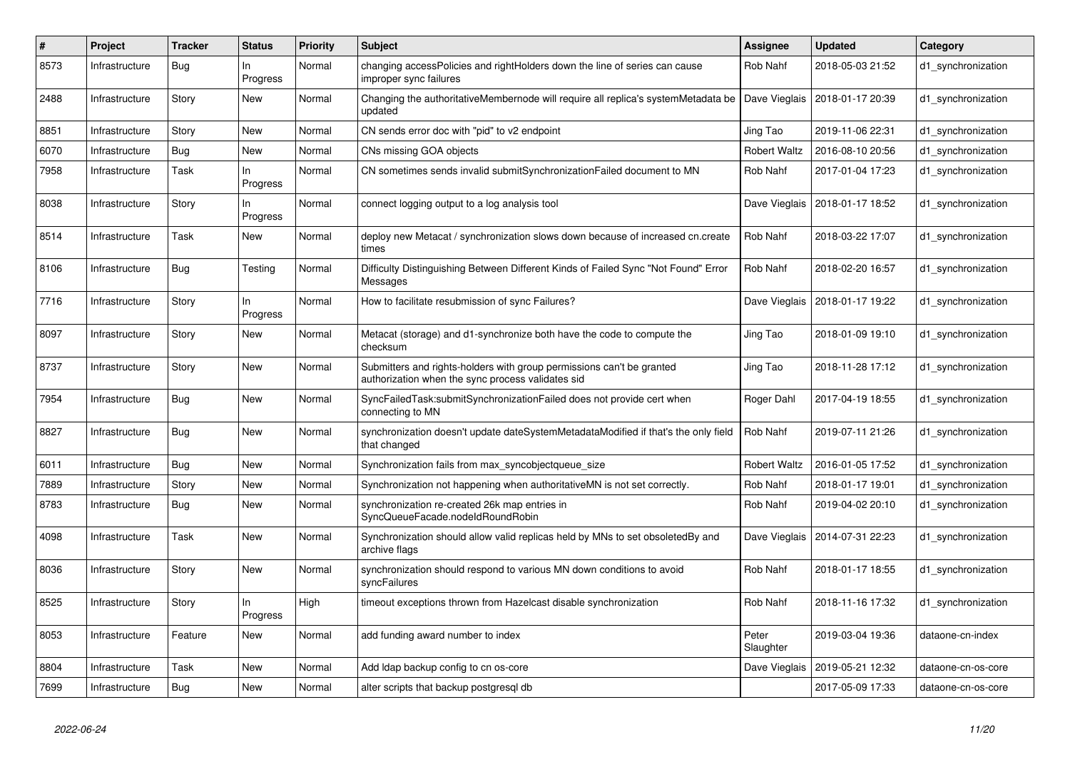| #    | Project        | <b>Tracker</b> | <b>Status</b>   | <b>Priority</b> | <b>Subject</b>                                                                                                             | Assignee            | <b>Updated</b>                   | Category           |
|------|----------------|----------------|-----------------|-----------------|----------------------------------------------------------------------------------------------------------------------------|---------------------|----------------------------------|--------------------|
| 8573 | Infrastructure | Bug            | In<br>Progress  | Normal          | changing accessPolicies and rightHolders down the line of series can cause<br>improper sync failures                       | Rob Nahf            | 2018-05-03 21:52                 | d1 synchronization |
| 2488 | Infrastructure | Story          | New             | Normal          | Changing the authoritativeMembernode will require all replica's systemMetadata be<br>updated                               | Dave Vieglais       | 2018-01-17 20:39                 | d1_synchronization |
| 8851 | Infrastructure | Story          | New             | Normal          | CN sends error doc with "pid" to v2 endpoint                                                                               | Jing Tao            | 2019-11-06 22:31                 | d1 synchronization |
| 6070 | Infrastructure | Bug            | <b>New</b>      | Normal          | CNs missing GOA objects                                                                                                    | Robert Waltz        | 2016-08-10 20:56                 | d1_synchronization |
| 7958 | Infrastructure | Task           | In.<br>Progress | Normal          | CN sometimes sends invalid submitSynchronizationFailed document to MN                                                      | Rob Nahf            | 2017-01-04 17:23                 | d1 synchronization |
| 8038 | Infrastructure | Story          | In<br>Progress  | Normal          | connect logging output to a log analysis tool                                                                              | Dave Vieglais       | 2018-01-17 18:52                 | d1 synchronization |
| 8514 | Infrastructure | Task           | New             | Normal          | deploy new Metacat / synchronization slows down because of increased cn.create<br>times                                    | Rob Nahf            | 2018-03-22 17:07                 | d1 synchronization |
| 8106 | Infrastructure | <b>Bug</b>     | Testing         | Normal          | Difficulty Distinguishing Between Different Kinds of Failed Sync "Not Found" Error<br>Messages                             | Rob Nahf            | 2018-02-20 16:57                 | d1_synchronization |
| 7716 | Infrastructure | Story          | In<br>Progress  | Normal          | How to facilitate resubmission of sync Failures?                                                                           | Dave Vieglais       | 2018-01-17 19:22                 | d1 synchronization |
| 8097 | Infrastructure | Story          | New             | Normal          | Metacat (storage) and d1-synchronize both have the code to compute the<br>checksum                                         | Jing Tao            | 2018-01-09 19:10                 | d1 synchronization |
| 8737 | Infrastructure | Story          | New             | Normal          | Submitters and rights-holders with group permissions can't be granted<br>authorization when the sync process validates sid | Jing Tao            | 2018-11-28 17:12                 | d1 synchronization |
| 7954 | Infrastructure | <b>Bug</b>     | New             | Normal          | SyncFailedTask:submitSynchronizationFailed does not provide cert when<br>connecting to MN                                  | Roger Dahl          | 2017-04-19 18:55                 | d1_synchronization |
| 8827 | Infrastructure | <b>Bug</b>     | <b>New</b>      | Normal          | synchronization doesn't update dateSystemMetadataModified if that's the only field<br>that changed                         | Rob Nahf            | 2019-07-11 21:26                 | d1 synchronization |
| 6011 | Infrastructure | <b>Bug</b>     | <b>New</b>      | Normal          | Synchronization fails from max_syncobjectqueue_size                                                                        | <b>Robert Waltz</b> | 2016-01-05 17:52                 | d1_synchronization |
| 7889 | Infrastructure | Story          | New             | Normal          | Synchronization not happening when authoritative MN is not set correctly.                                                  | Rob Nahf            | 2018-01-17 19:01                 | d1 synchronization |
| 8783 | Infrastructure | Bug            | New             | Normal          | synchronization re-created 26k map entries in<br>SyncQueueFacade.nodeIdRoundRobin                                          | Rob Nahf            | 2019-04-02 20:10                 | d1 synchronization |
| 4098 | Infrastructure | Task           | New             | Normal          | Synchronization should allow valid replicas held by MNs to set obsoletedBy and<br>archive flags                            |                     | Dave Vieglais   2014-07-31 22:23 | d1_synchronization |
| 8036 | Infrastructure | Story          | New             | Normal          | synchronization should respond to various MN down conditions to avoid<br>syncFailures                                      | Rob Nahf            | 2018-01-17 18:55                 | d1_synchronization |
| 8525 | Infrastructure | Story          | ln.<br>Progress | High            | timeout exceptions thrown from Hazelcast disable synchronization                                                           | Rob Nahf            | 2018-11-16 17:32                 | d1 synchronization |
| 8053 | Infrastructure | Feature        | New             | Normal          | add funding award number to index                                                                                          | Peter<br>Slaughter  | 2019-03-04 19:36                 | dataone-cn-index   |
| 8804 | Infrastructure | Task           | New             | Normal          | Add Idap backup config to cn os-core                                                                                       | Dave Vieglais       | 2019-05-21 12:32                 | dataone-cn-os-core |
| 7699 | Infrastructure | Bug            | New             | Normal          | alter scripts that backup postgresgl db                                                                                    |                     | 2017-05-09 17:33                 | dataone-cn-os-core |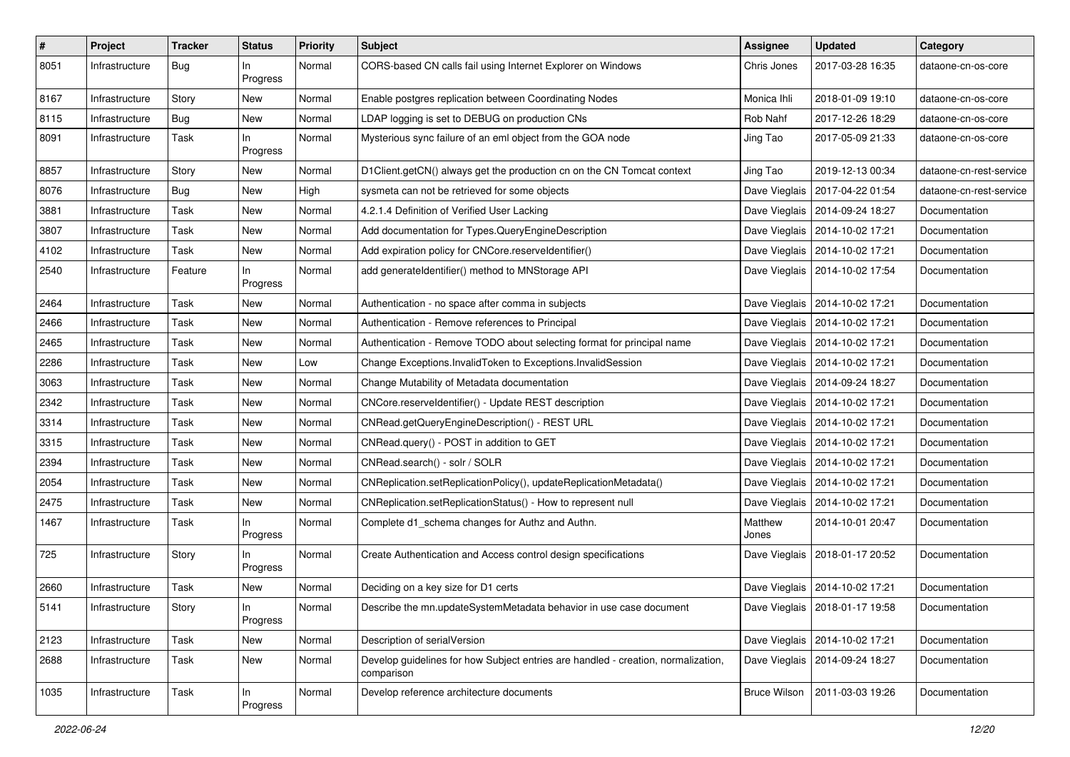| $\vert$ # | Project        | <b>Tracker</b> | <b>Status</b>   | <b>Priority</b> | <b>Subject</b>                                                                                  | <b>Assignee</b>     | <b>Updated</b>                   | Category                |
|-----------|----------------|----------------|-----------------|-----------------|-------------------------------------------------------------------------------------------------|---------------------|----------------------------------|-------------------------|
| 8051      | Infrastructure | <b>Bug</b>     | ln.<br>Progress | Normal          | CORS-based CN calls fail using Internet Explorer on Windows                                     | Chris Jones         | 2017-03-28 16:35                 | dataone-cn-os-core      |
| 8167      | Infrastructure | Story          | New             | Normal          | Enable postgres replication between Coordinating Nodes                                          | Monica Ihli         | 2018-01-09 19:10                 | dataone-cn-os-core      |
| 8115      | Infrastructure | <b>Bug</b>     | New             | Normal          | LDAP logging is set to DEBUG on production CNs                                                  | Rob Nahf            | 2017-12-26 18:29                 | dataone-cn-os-core      |
| 8091      | Infrastructure | Task           | ln<br>Progress  | Normal          | Mysterious sync failure of an eml object from the GOA node                                      | Jing Tao            | 2017-05-09 21:33                 | dataone-cn-os-core      |
| 8857      | Infrastructure | Story          | New             | Normal          | D1Client.getCN() always get the production cn on the CN Tomcat context                          | Jing Tao            | 2019-12-13 00:34                 | dataone-cn-rest-service |
| 8076      | Infrastructure | Bug            | New             | High            | sysmeta can not be retrieved for some objects                                                   |                     | Dave Vieglais   2017-04-22 01:54 | dataone-cn-rest-service |
| 3881      | Infrastructure | Task           | New             | Normal          | 4.2.1.4 Definition of Verified User Lacking                                                     |                     | Dave Vieglais   2014-09-24 18:27 | Documentation           |
| 3807      | Infrastructure | Task           | New             | Normal          | Add documentation for Types.QueryEngineDescription                                              |                     | Dave Vieglais   2014-10-02 17:21 | Documentation           |
| 4102      | Infrastructure | Task           | New             | Normal          | Add expiration policy for CNCore.reserveldentifier()                                            |                     | Dave Vieglais   2014-10-02 17:21 | Documentation           |
| 2540      | Infrastructure | Feature        | In<br>Progress  | Normal          | add generateIdentifier() method to MNStorage API                                                |                     | Dave Vieglais   2014-10-02 17:54 | Documentation           |
| 2464      | Infrastructure | Task           | New             | Normal          | Authentication - no space after comma in subjects                                               |                     | Dave Vieglais   2014-10-02 17:21 | Documentation           |
| 2466      | Infrastructure | Task           | New             | Normal          | Authentication - Remove references to Principal                                                 |                     | Dave Vieglais   2014-10-02 17:21 | Documentation           |
| 2465      | Infrastructure | Task           | New             | Normal          | Authentication - Remove TODO about selecting format for principal name                          |                     | Dave Vieglais   2014-10-02 17:21 | Documentation           |
| 2286      | Infrastructure | Task           | New             | Low             | Change Exceptions.InvalidToken to Exceptions.InvalidSession                                     |                     | Dave Vieglais   2014-10-02 17:21 | Documentation           |
| 3063      | Infrastructure | Task           | New             | Normal          | Change Mutability of Metadata documentation                                                     |                     | Dave Vieglais   2014-09-24 18:27 | Documentation           |
| 2342      | Infrastructure | Task           | New             | Normal          | CNCore.reserveldentifier() - Update REST description                                            |                     | Dave Vieglais   2014-10-02 17:21 | Documentation           |
| 3314      | Infrastructure | Task           | New             | Normal          | CNRead.getQueryEngineDescription() - REST URL                                                   |                     | Dave Vieglais   2014-10-02 17:21 | Documentation           |
| 3315      | Infrastructure | Task           | New             | Normal          | CNRead.query() - POST in addition to GET                                                        |                     | Dave Vieglais   2014-10-02 17:21 | Documentation           |
| 2394      | Infrastructure | Task           | New             | Normal          | CNRead.search() - solr / SOLR                                                                   |                     | Dave Vieglais   2014-10-02 17:21 | Documentation           |
| 2054      | Infrastructure | Task           | New             | Normal          | CNReplication.setReplicationPolicy(), updateReplicationMetadata()                               |                     | Dave Vieglais   2014-10-02 17:21 | Documentation           |
| 2475      | Infrastructure | Task           | New             | Normal          | CNReplication.setReplicationStatus() - How to represent null                                    |                     | Dave Vieglais   2014-10-02 17:21 | Documentation           |
| 1467      | Infrastructure | Task           | In<br>Progress  | Normal          | Complete d1_schema changes for Authz and Authn.                                                 | Matthew<br>Jones    | 2014-10-01 20:47                 | Documentation           |
| 725       | Infrastructure | Story          | In<br>Progress  | Normal          | Create Authentication and Access control design specifications                                  |                     | Dave Vieglais   2018-01-17 20:52 | Documentation           |
| 2660      | Infrastructure | Task           | New             | Normal          | Deciding on a key size for D1 certs                                                             |                     | Dave Vieglais   2014-10-02 17:21 | Documentation           |
| 5141      | Infrastructure | Story          | In<br>Progress  | Normal          | Describe the mn.updateSystemMetadata behavior in use case document                              |                     | Dave Vieglais   2018-01-17 19:58 | Documentation           |
| 2123      | Infrastructure | Task           | New             | Normal          | Description of serialVersion                                                                    |                     | Dave Vieglais   2014-10-02 17:21 | Documentation           |
| 2688      | Infrastructure | Task           | New             | Normal          | Develop guidelines for how Subject entries are handled - creation, normalization,<br>comparison |                     | Dave Vieglais   2014-09-24 18:27 | Documentation           |
| 1035      | Infrastructure | Task           | In<br>Progress  | Normal          | Develop reference architecture documents                                                        | <b>Bruce Wilson</b> | 2011-03-03 19:26                 | Documentation           |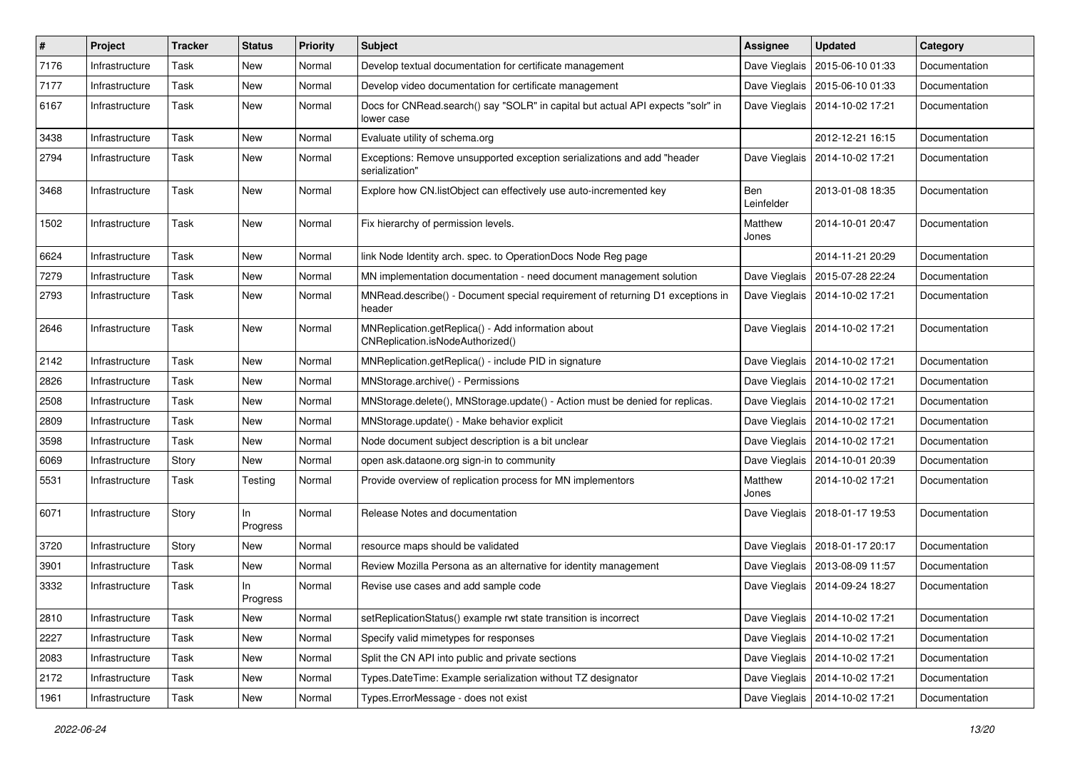| $\sharp$ | Project        | <b>Tracker</b> | <b>Status</b>  | <b>Priority</b> | Subject                                                                                       | Assignee          | <b>Updated</b>                   | Category      |
|----------|----------------|----------------|----------------|-----------------|-----------------------------------------------------------------------------------------------|-------------------|----------------------------------|---------------|
| 7176     | Infrastructure | Task           | New            | Normal          | Develop textual documentation for certificate management                                      | Dave Vieglais     | 2015-06-10 01:33                 | Documentation |
| 7177     | Infrastructure | Task           | <b>New</b>     | Normal          | Develop video documentation for certificate management                                        |                   | Dave Vieglais   2015-06-10 01:33 | Documentation |
| 6167     | Infrastructure | Task           | New            | Normal          | Docs for CNRead.search() say "SOLR" in capital but actual API expects "solr" in<br>lower case |                   | Dave Vieglais   2014-10-02 17:21 | Documentation |
| 3438     | Infrastructure | Task           | <b>New</b>     | Normal          | Evaluate utility of schema.org                                                                |                   | 2012-12-21 16:15                 | Documentation |
| 2794     | Infrastructure | Task           | New            | Normal          | Exceptions: Remove unsupported exception serializations and add "header<br>serialization"     | Dave Vieglais     | 2014-10-02 17:21                 | Documentation |
| 3468     | Infrastructure | Task           | New            | Normal          | Explore how CN.listObject can effectively use auto-incremented key                            | Ben<br>Leinfelder | 2013-01-08 18:35                 | Documentation |
| 1502     | Infrastructure | Task           | <b>New</b>     | Normal          | Fix hierarchy of permission levels.                                                           | Matthew<br>Jones  | 2014-10-01 20:47                 | Documentation |
| 6624     | Infrastructure | Task           | <b>New</b>     | Normal          | link Node Identity arch. spec. to OperationDocs Node Reg page                                 |                   | 2014-11-21 20:29                 | Documentation |
| 7279     | Infrastructure | Task           | <b>New</b>     | Normal          | MN implementation documentation - need document management solution                           | Dave Vieglais     | 2015-07-28 22:24                 | Documentation |
| 2793     | Infrastructure | Task           | New            | Normal          | MNRead.describe() - Document special requirement of returning D1 exceptions in<br>header      | Dave Vieglais     | 2014-10-02 17:21                 | Documentation |
| 2646     | Infrastructure | Task           | <b>New</b>     | Normal          | MNReplication.getReplica() - Add information about<br>CNReplication.isNodeAuthorized()        |                   | Dave Vieglais   2014-10-02 17:21 | Documentation |
| 2142     | Infrastructure | Task           | <b>New</b>     | Normal          | MNReplication.getReplica() - include PID in signature                                         |                   | Dave Vieglais   2014-10-02 17:21 | Documentation |
| 2826     | Infrastructure | Task           | New            | Normal          | MNStorage.archive() - Permissions                                                             |                   | Dave Vieglais   2014-10-02 17:21 | Documentation |
| 2508     | Infrastructure | Task           | New            | Normal          | MNStorage.delete(), MNStorage.update() - Action must be denied for replicas.                  |                   | Dave Vieglais   2014-10-02 17:21 | Documentation |
| 2809     | Infrastructure | Task           | <b>New</b>     | Normal          | MNStorage.update() - Make behavior explicit                                                   |                   | Dave Vieglais   2014-10-02 17:21 | Documentation |
| 3598     | Infrastructure | Task           | New            | Normal          | Node document subject description is a bit unclear                                            |                   | Dave Vieglais   2014-10-02 17:21 | Documentation |
| 6069     | Infrastructure | Story          | New            | Normal          | open ask.dataone.org sign-in to community                                                     |                   | Dave Vieglais   2014-10-01 20:39 | Documentation |
| 5531     | Infrastructure | Task           | Testing        | Normal          | Provide overview of replication process for MN implementors                                   | Matthew<br>Jones  | 2014-10-02 17:21                 | Documentation |
| 6071     | Infrastructure | Story          | ln<br>Progress | Normal          | Release Notes and documentation                                                               |                   | Dave Vieglais   2018-01-17 19:53 | Documentation |
| 3720     | Infrastructure | Story          | New            | Normal          | resource maps should be validated                                                             |                   | Dave Vieglais   2018-01-17 20:17 | Documentation |
| 3901     | Infrastructure | Task           | <b>New</b>     | Normal          | Review Mozilla Persona as an alternative for identity management                              |                   | Dave Vieglais   2013-08-09 11:57 | Documentation |
| 3332     | Infrastructure | Task           | In<br>Progress | Normal          | Revise use cases and add sample code                                                          | Dave Vieglais     | 2014-09-24 18:27                 | Documentation |
| 2810     | Infrastructure | Task           | New            | Normal          | setReplicationStatus() example rwt state transition is incorrect                              |                   | Dave Vieglais   2014-10-02 17:21 | Documentation |
| 2227     | Infrastructure | Task           | New            | Normal          | Specify valid mimetypes for responses                                                         |                   | Dave Vieglais   2014-10-02 17:21 | Documentation |
| 2083     | Infrastructure | Task           | New            | Normal          | Split the CN API into public and private sections                                             |                   | Dave Vieglais   2014-10-02 17:21 | Documentation |
| 2172     | Infrastructure | Task           | New            | Normal          | Types.DateTime: Example serialization without TZ designator                                   |                   | Dave Vieglais   2014-10-02 17:21 | Documentation |
| 1961     | Infrastructure | Task           | New            | Normal          | Types.ErrorMessage - does not exist                                                           |                   | Dave Vieglais   2014-10-02 17:21 | Documentation |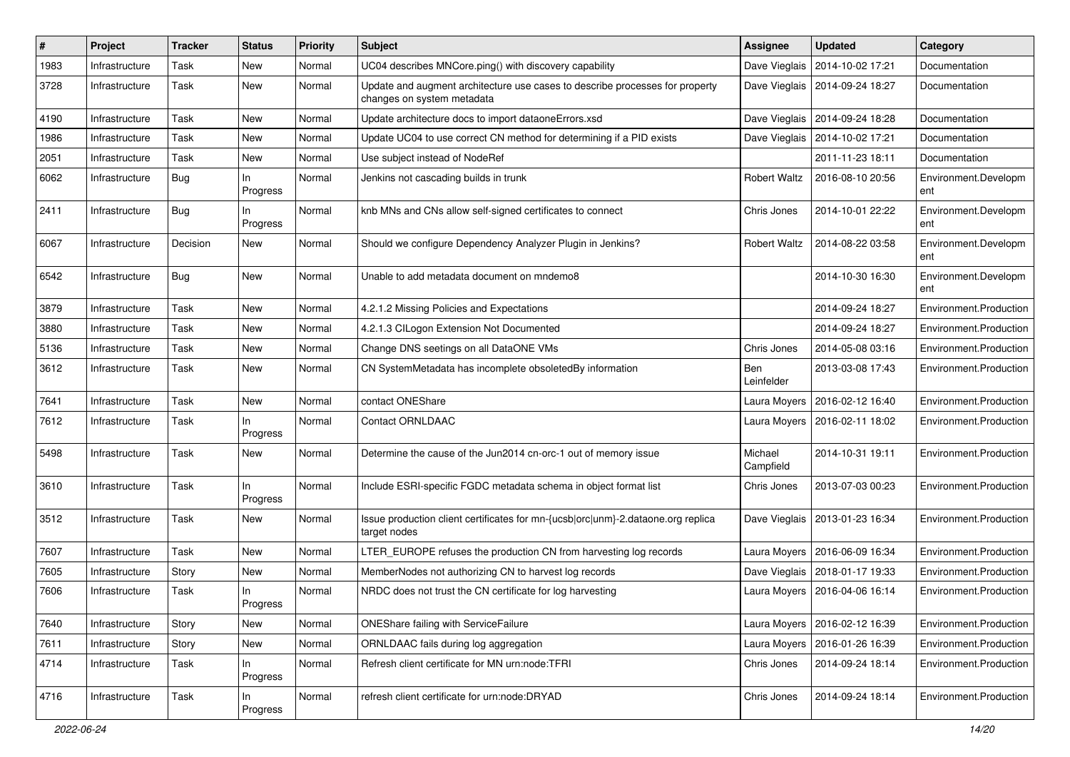| ∦    | Project        | <b>Tracker</b> | <b>Status</b>   | <b>Priority</b> | Subject                                                                                                    | Assignee             | <b>Updated</b>                   | Category                    |
|------|----------------|----------------|-----------------|-----------------|------------------------------------------------------------------------------------------------------------|----------------------|----------------------------------|-----------------------------|
| 1983 | Infrastructure | Task           | New             | Normal          | UC04 describes MNCore.ping() with discovery capability                                                     | Dave Vieglais        | 2014-10-02 17:21                 | Documentation               |
| 3728 | Infrastructure | Task           | New             | Normal          | Update and augment architecture use cases to describe processes for property<br>changes on system metadata |                      | Dave Vieglais   2014-09-24 18:27 | Documentation               |
| 4190 | Infrastructure | Task           | New             | Normal          | Update architecture docs to import dataoneErrors.xsd                                                       |                      | Dave Vieglais   2014-09-24 18:28 | Documentation               |
| 1986 | Infrastructure | Task           | New             | Normal          | Update UC04 to use correct CN method for determining if a PID exists                                       |                      | Dave Vieglais   2014-10-02 17:21 | Documentation               |
| 2051 | Infrastructure | Task           | New             | Normal          | Use subject instead of NodeRef                                                                             |                      | 2011-11-23 18:11                 | Documentation               |
| 6062 | Infrastructure | <b>Bug</b>     | In<br>Progress  | Normal          | Jenkins not cascading builds in trunk                                                                      | <b>Robert Waltz</b>  | 2016-08-10 20:56                 | Environment.Developm<br>ent |
| 2411 | Infrastructure | Bug            | ln.<br>Progress | Normal          | knb MNs and CNs allow self-signed certificates to connect                                                  | Chris Jones          | 2014-10-01 22:22                 | Environment.Developm<br>ent |
| 6067 | Infrastructure | Decision       | New             | Normal          | Should we configure Dependency Analyzer Plugin in Jenkins?                                                 | <b>Robert Waltz</b>  | 2014-08-22 03:58                 | Environment.Developm<br>ent |
| 6542 | Infrastructure | Bug            | New             | Normal          | Unable to add metadata document on mndemo8                                                                 |                      | 2014-10-30 16:30                 | Environment.Developm<br>ent |
| 3879 | Infrastructure | Task           | New             | Normal          | 4.2.1.2 Missing Policies and Expectations                                                                  |                      | 2014-09-24 18:27                 | Environment.Production      |
| 3880 | Infrastructure | Task           | New             | Normal          | 4.2.1.3 CILogon Extension Not Documented                                                                   |                      | 2014-09-24 18:27                 | Environment.Production      |
| 5136 | Infrastructure | Task           | New             | Normal          | Change DNS seetings on all DataONE VMs                                                                     | Chris Jones          | 2014-05-08 03:16                 | Environment.Production      |
| 3612 | Infrastructure | Task           | New             | Normal          | CN SystemMetadata has incomplete obsoletedBy information                                                   | Ben<br>Leinfelder    | 2013-03-08 17:43                 | Environment.Production      |
| 7641 | Infrastructure | Task           | New             | Normal          | contact ONEShare                                                                                           |                      | Laura Moyers   2016-02-12 16:40  | Environment.Production      |
| 7612 | Infrastructure | Task           | In<br>Progress  | Normal          | <b>Contact ORNLDAAC</b>                                                                                    |                      | Laura Moyers   2016-02-11 18:02  | Environment.Production      |
| 5498 | Infrastructure | Task           | New             | Normal          | Determine the cause of the Jun2014 cn-orc-1 out of memory issue                                            | Michael<br>Campfield | 2014-10-31 19:11                 | Environment.Production      |
| 3610 | Infrastructure | Task           | ln.<br>Progress | Normal          | Include ESRI-specific FGDC metadata schema in object format list                                           | Chris Jones          | 2013-07-03 00:23                 | Environment.Production      |
| 3512 | Infrastructure | Task           | New             | Normal          | Issue production client certificates for mn-{ucsb orc unm}-2.dataone.org replica<br>target nodes           |                      | Dave Vieglais   2013-01-23 16:34 | Environment.Production      |
| 7607 | Infrastructure | Task           | New             | Normal          | LTER_EUROPE refuses the production CN from harvesting log records                                          |                      | Laura Moyers   2016-06-09 16:34  | Environment.Production      |
| 7605 | Infrastructure | Story          | New             | Normal          | MemberNodes not authorizing CN to harvest log records                                                      |                      | Dave Vieglais   2018-01-17 19:33 | Environment.Production      |
| 7606 | Infrastructure | Task           | ln.<br>Progress | Normal          | NRDC does not trust the CN certificate for log harvesting                                                  |                      | Laura Moyers   2016-04-06 16:14  | Environment.Production      |
| 7640 | Infrastructure | Story          | New             | Normal          | ONEShare failing with ServiceFailure                                                                       |                      | Laura Moyers   2016-02-12 16:39  | Environment.Production      |
| 7611 | Infrastructure | Story          | New             | Normal          | ORNLDAAC fails during log aggregation                                                                      |                      | Laura Moyers   2016-01-26 16:39  | Environment.Production      |
| 4714 | Infrastructure | Task           | In<br>Progress  | Normal          | Refresh client certificate for MN urn:node:TFRI                                                            | Chris Jones          | 2014-09-24 18:14                 | Environment.Production      |
| 4716 | Infrastructure | Task           | In<br>Progress  | Normal          | refresh client certificate for urn:node:DRYAD                                                              | Chris Jones          | 2014-09-24 18:14                 | Environment.Production      |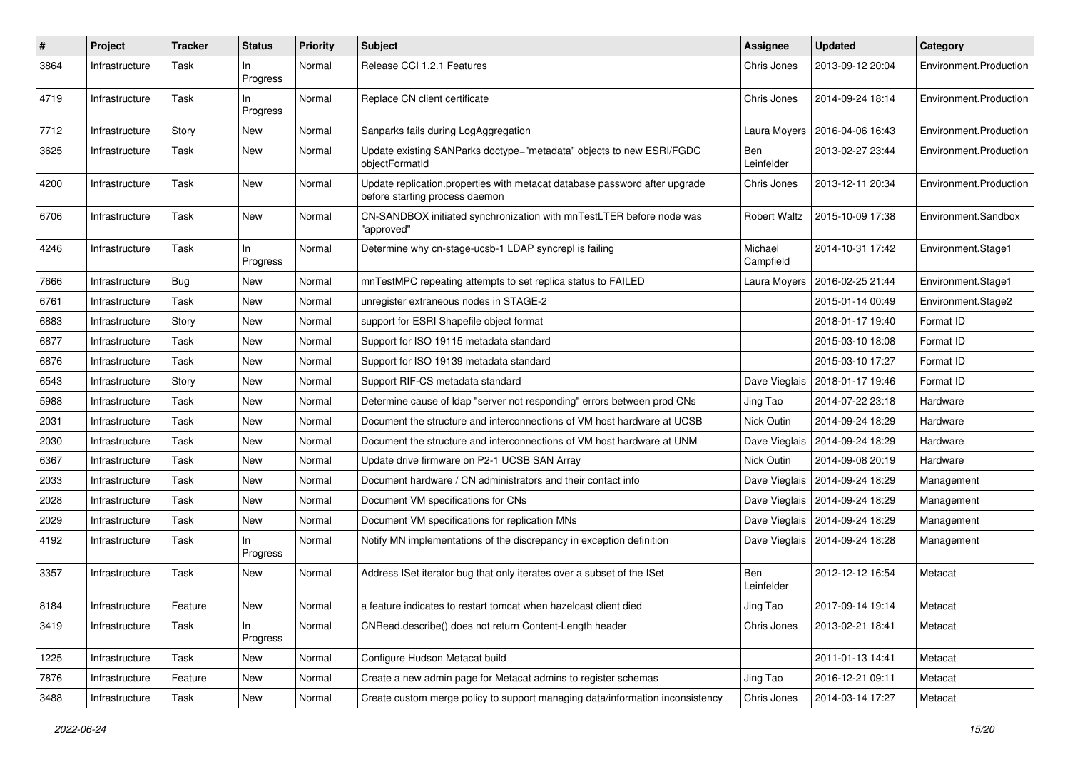| #    | Project        | <b>Tracker</b> | <b>Status</b>     | Priority | <b>Subject</b>                                                                                               | <b>Assignee</b>      | <b>Updated</b>                   | Category               |
|------|----------------|----------------|-------------------|----------|--------------------------------------------------------------------------------------------------------------|----------------------|----------------------------------|------------------------|
| 3864 | Infrastructure | Task           | In.<br>Progress   | Normal   | Release CCI 1.2.1 Features                                                                                   | Chris Jones          | 2013-09-12 20:04                 | Environment.Production |
| 4719 | Infrastructure | Task           | In<br>Progress    | Normal   | Replace CN client certificate                                                                                | Chris Jones          | 2014-09-24 18:14                 | Environment.Production |
| 7712 | Infrastructure | Story          | New               | Normal   | Sanparks fails during LogAggregation                                                                         | Laura Moyers         | 2016-04-06 16:43                 | Environment.Production |
| 3625 | Infrastructure | Task           | New               | Normal   | Update existing SANParks doctype="metadata" objects to new ESRI/FGDC<br>objectFormatId                       | Ben<br>Leinfelder    | 2013-02-27 23:44                 | Environment.Production |
| 4200 | Infrastructure | Task           | New               | Normal   | Update replication.properties with metacat database password after upgrade<br>before starting process daemon | Chris Jones          | 2013-12-11 20:34                 | Environment.Production |
| 6706 | Infrastructure | Task           | <b>New</b>        | Normal   | CN-SANDBOX initiated synchronization with mnTestLTER before node was<br>"approved"                           | <b>Robert Waltz</b>  | 2015-10-09 17:38                 | Environment.Sandbox    |
| 4246 | Infrastructure | Task           | $\ln$<br>Progress | Normal   | Determine why cn-stage-ucsb-1 LDAP syncrepl is failing                                                       | Michael<br>Campfield | 2014-10-31 17:42                 | Environment.Stage1     |
| 7666 | Infrastructure | Bug            | New               | Normal   | mnTestMPC repeating attempts to set replica status to FAILED                                                 | Laura Moyers         | 2016-02-25 21:44                 | Environment.Stage1     |
| 6761 | Infrastructure | Task           | New               | Normal   | unregister extraneous nodes in STAGE-2                                                                       |                      | 2015-01-14 00:49                 | Environment.Stage2     |
| 6883 | Infrastructure | Story          | <b>New</b>        | Normal   | support for ESRI Shapefile object format                                                                     |                      | 2018-01-17 19:40                 | Format ID              |
| 6877 | Infrastructure | Task           | New               | Normal   | Support for ISO 19115 metadata standard                                                                      |                      | 2015-03-10 18:08                 | Format ID              |
| 6876 | Infrastructure | Task           | <b>New</b>        | Normal   | Support for ISO 19139 metadata standard                                                                      |                      | 2015-03-10 17:27                 | Format ID              |
| 6543 | Infrastructure | Story          | New               | Normal   | Support RIF-CS metadata standard                                                                             | Dave Vieglais        | 2018-01-17 19:46                 | Format ID              |
| 5988 | Infrastructure | Task           | New               | Normal   | Determine cause of Idap "server not responding" errors between prod CNs                                      | Jing Tao             | 2014-07-22 23:18                 | Hardware               |
| 2031 | Infrastructure | Task           | New               | Normal   | Document the structure and interconnections of VM host hardware at UCSB                                      | Nick Outin           | 2014-09-24 18:29                 | Hardware               |
| 2030 | Infrastructure | Task           | New               | Normal   | Document the structure and interconnections of VM host hardware at UNM                                       | Dave Vieglais        | 2014-09-24 18:29                 | Hardware               |
| 6367 | Infrastructure | Task           | New               | Normal   | Update drive firmware on P2-1 UCSB SAN Array                                                                 | Nick Outin           | 2014-09-08 20:19                 | Hardware               |
| 2033 | Infrastructure | Task           | New               | Normal   | Document hardware / CN administrators and their contact info                                                 | Dave Vieglais        | 2014-09-24 18:29                 | Management             |
| 2028 | Infrastructure | Task           | <b>New</b>        | Normal   | Document VM specifications for CNs                                                                           |                      | Dave Vieglais   2014-09-24 18:29 | Management             |
| 2029 | Infrastructure | Task           | New               | Normal   | Document VM specifications for replication MNs                                                               |                      | Dave Vieglais   2014-09-24 18:29 | Management             |
| 4192 | Infrastructure | Task           | ln.<br>Progress   | Normal   | Notify MN implementations of the discrepancy in exception definition                                         |                      | Dave Vieglais   2014-09-24 18:28 | Management             |
| 3357 | Infrastructure | Task           | New               | Normal   | Address ISet iterator bug that only iterates over a subset of the ISet                                       | Ben<br>Leinfelder    | 2012-12-12 16:54                 | Metacat                |
| 8184 | Infrastructure | Feature        | New               | Normal   | a feature indicates to restart tomcat when hazelcast client died                                             | Jing Tao             | 2017-09-14 19:14                 | Metacat                |
| 3419 | Infrastructure | Task           | In<br>Progress    | Normal   | CNRead.describe() does not return Content-Length header                                                      | Chris Jones          | 2013-02-21 18:41                 | Metacat                |
| 1225 | Infrastructure | Task           | New               | Normal   | Configure Hudson Metacat build                                                                               |                      | 2011-01-13 14:41                 | Metacat                |
| 7876 | Infrastructure | Feature        | New               | Normal   | Create a new admin page for Metacat admins to register schemas                                               | Jing Tao             | 2016-12-21 09:11                 | Metacat                |
| 3488 | Infrastructure | Task           | New               | Normal   | Create custom merge policy to support managing data/information inconsistency                                | Chris Jones          | 2014-03-14 17:27                 | Metacat                |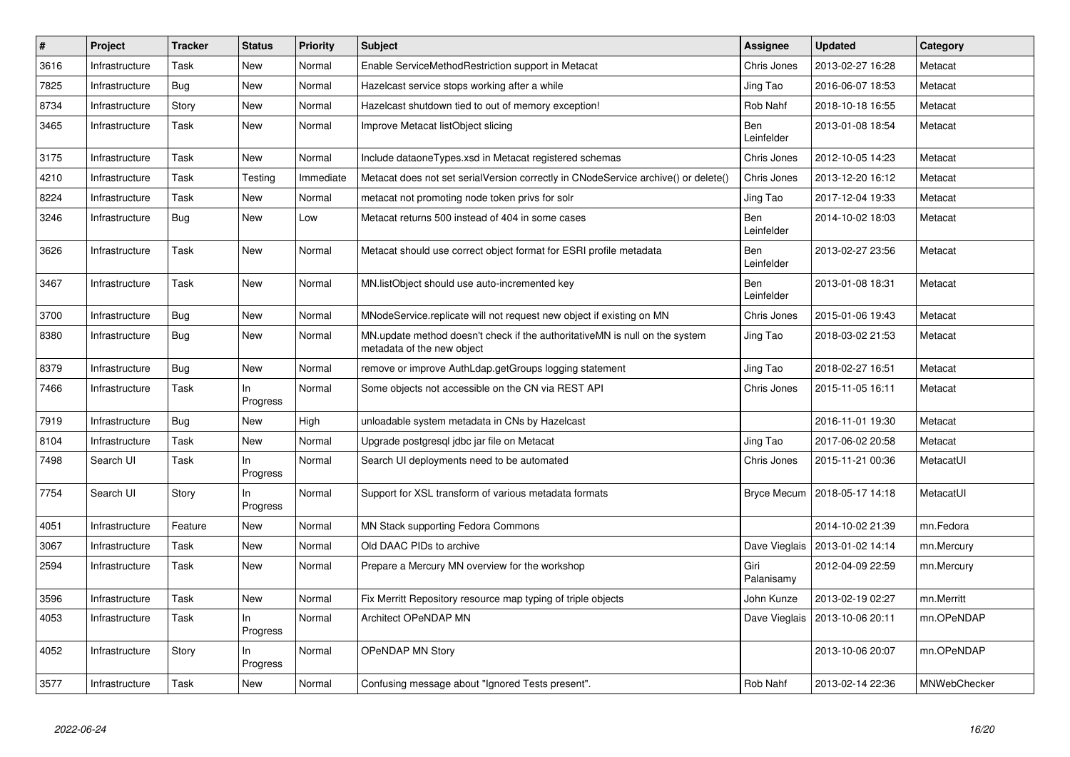| $\#$ | Project        | <b>Tracker</b> | <b>Status</b>   | <b>Priority</b> | <b>Subject</b>                                                                                            | Assignee           | <b>Updated</b>                   | Category     |
|------|----------------|----------------|-----------------|-----------------|-----------------------------------------------------------------------------------------------------------|--------------------|----------------------------------|--------------|
| 3616 | Infrastructure | Task           | New             | Normal          | Enable ServiceMethodRestriction support in Metacat                                                        | Chris Jones        | 2013-02-27 16:28                 | Metacat      |
| 7825 | Infrastructure | <b>Bug</b>     | <b>New</b>      | Normal          | Hazelcast service stops working after a while                                                             | Jing Tao           | 2016-06-07 18:53                 | Metacat      |
| 8734 | Infrastructure | Story          | New             | Normal          | Hazelcast shutdown tied to out of memory exception!                                                       | Rob Nahf           | 2018-10-18 16:55                 | Metacat      |
| 3465 | Infrastructure | Task           | <b>New</b>      | Normal          | Improve Metacat listObject slicing                                                                        | Ben<br>Leinfelder  | 2013-01-08 18:54                 | Metacat      |
| 3175 | Infrastructure | Task           | New             | Normal          | Include dataoneTypes.xsd in Metacat registered schemas                                                    | Chris Jones        | 2012-10-05 14:23                 | Metacat      |
| 4210 | Infrastructure | Task           | Testing         | Immediate       | Metacat does not set serialVersion correctly in CNodeService archive() or delete()                        | Chris Jones        | 2013-12-20 16:12                 | Metacat      |
| 8224 | Infrastructure | Task           | New             | Normal          | metacat not promoting node token privs for solr                                                           | Jing Tao           | 2017-12-04 19:33                 | Metacat      |
| 3246 | Infrastructure | <b>Bug</b>     | New             | Low             | Metacat returns 500 instead of 404 in some cases                                                          | Ben<br>Leinfelder  | 2014-10-02 18:03                 | Metacat      |
| 3626 | Infrastructure | Task           | New             | Normal          | Metacat should use correct object format for ESRI profile metadata                                        | Ben<br>Leinfelder  | 2013-02-27 23:56                 | Metacat      |
| 3467 | Infrastructure | Task           | New             | Normal          | MN.listObject should use auto-incremented key                                                             | Ben<br>Leinfelder  | 2013-01-08 18:31                 | Metacat      |
| 3700 | Infrastructure | Bug            | New             | Normal          | MNodeService.replicate will not request new object if existing on MN                                      | Chris Jones        | 2015-01-06 19:43                 | Metacat      |
| 8380 | Infrastructure | <b>Bug</b>     | New             | Normal          | MN.update method doesn't check if the authoritativeMN is null on the system<br>metadata of the new object | Jing Tao           | 2018-03-02 21:53                 | Metacat      |
| 8379 | Infrastructure | Bug            | <b>New</b>      | Normal          | remove or improve AuthLdap.getGroups logging statement                                                    | Jing Tao           | 2018-02-27 16:51                 | Metacat      |
| 7466 | Infrastructure | Task           | In<br>Progress  | Normal          | Some objects not accessible on the CN via REST API                                                        | Chris Jones        | 2015-11-05 16:11                 | Metacat      |
| 7919 | Infrastructure | Bug            | New             | High            | unloadable system metadata in CNs by Hazelcast                                                            |                    | 2016-11-01 19:30                 | Metacat      |
| 8104 | Infrastructure | Task           | New             | Normal          | Upgrade postgresql jdbc jar file on Metacat                                                               | Jing Tao           | 2017-06-02 20:58                 | Metacat      |
| 7498 | Search UI      | Task           | In.<br>Progress | Normal          | Search UI deployments need to be automated                                                                | Chris Jones        | 2015-11-21 00:36                 | MetacatUI    |
| 7754 | Search UI      | Story          | In.<br>Progress | Normal          | Support for XSL transform of various metadata formats                                                     | Bryce Mecum        | 2018-05-17 14:18                 | MetacatUI    |
| 4051 | Infrastructure | Feature        | <b>New</b>      | Normal          | MN Stack supporting Fedora Commons                                                                        |                    | 2014-10-02 21:39                 | mn.Fedora    |
| 3067 | Infrastructure | Task           | New             | Normal          | Old DAAC PIDs to archive                                                                                  |                    | Dave Vieglais   2013-01-02 14:14 | mn.Mercury   |
| 2594 | Infrastructure | Task           | <b>New</b>      | Normal          | Prepare a Mercury MN overview for the workshop                                                            | Giri<br>Palanisamy | 2012-04-09 22:59                 | mn.Mercury   |
| 3596 | Infrastructure | Task           | New             | Normal          | Fix Merritt Repository resource map typing of triple objects                                              | John Kunze         | 2013-02-19 02:27                 | mn.Merritt   |
| 4053 | Infrastructure | Task           | In.<br>Progress | Normal          | Architect OPeNDAP MN                                                                                      | Dave Vieglais      | 2013-10-06 20:11                 | mn.OPeNDAP   |
| 4052 | Infrastructure | Story          | ln.<br>Progress | Normal          | OPeNDAP MN Story                                                                                          |                    | 2013-10-06 20:07                 | mn.OPeNDAP   |
| 3577 | Infrastructure | Task           | New             | Normal          | Confusing message about "Ignored Tests present".                                                          | Rob Nahf           | 2013-02-14 22:36                 | MNWebChecker |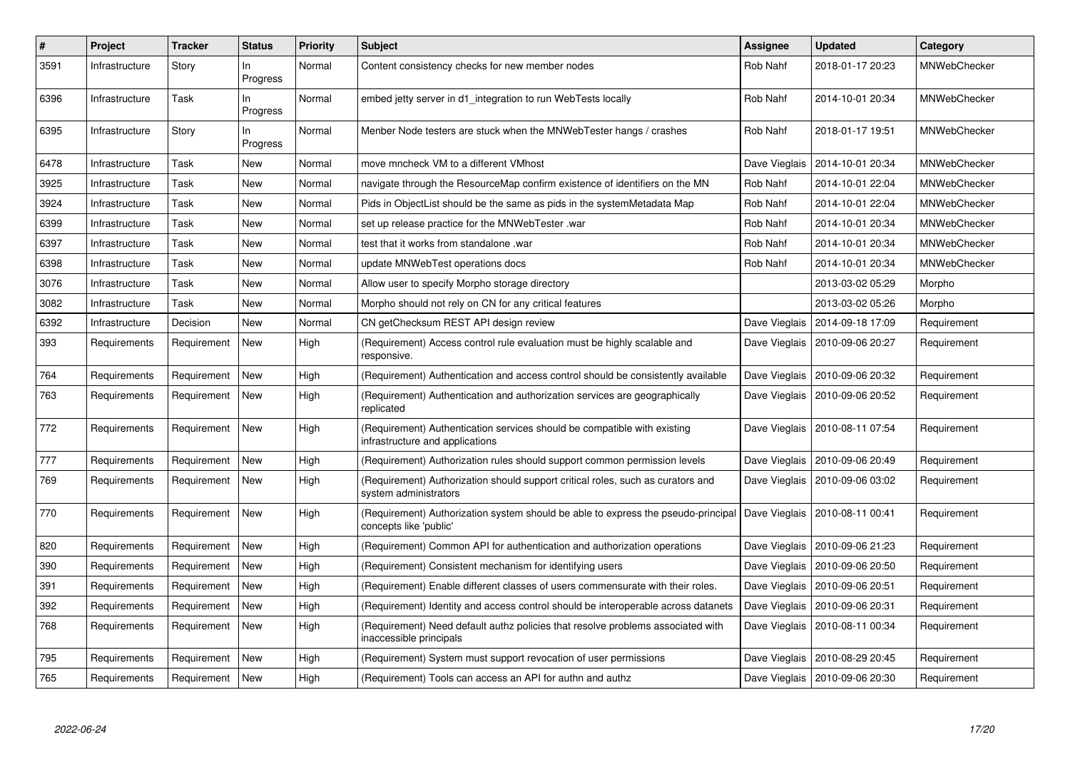| $\#$ | <b>Project</b> | <b>Tracker</b> | <b>Status</b>   | <b>Priority</b> | <b>Subject</b>                                                                                              | Assignee      | <b>Updated</b>                   | Category            |
|------|----------------|----------------|-----------------|-----------------|-------------------------------------------------------------------------------------------------------------|---------------|----------------------------------|---------------------|
| 3591 | Infrastructure | Story          | In.<br>Progress | Normal          | Content consistency checks for new member nodes                                                             | Rob Nahf      | 2018-01-17 20:23                 | MNWebChecker        |
| 6396 | Infrastructure | Task           | In<br>Progress  | Normal          | embed jetty server in d1 integration to run WebTests locally                                                | Rob Nahf      | 2014-10-01 20:34                 | MNWebChecker        |
| 6395 | Infrastructure | Story          | In<br>Progress  | Normal          | Menber Node testers are stuck when the MNWebTester hangs / crashes                                          | Rob Nahf      | 2018-01-17 19:51                 | <b>MNWebChecker</b> |
| 6478 | Infrastructure | Task           | <b>New</b>      | Normal          | move mncheck VM to a different VMhost                                                                       | Dave Vieglais | 2014-10-01 20:34                 | <b>MNWebChecker</b> |
| 3925 | Infrastructure | Task           | New             | Normal          | navigate through the ResourceMap confirm existence of identifiers on the MN                                 | Rob Nahf      | 2014-10-01 22:04                 | <b>MNWebChecker</b> |
| 3924 | Infrastructure | Task           | New             | Normal          | Pids in ObjectList should be the same as pids in the systemMetadata Map                                     | Rob Nahf      | 2014-10-01 22:04                 | MNWebChecker        |
| 6399 | Infrastructure | Task           | <b>New</b>      | Normal          | set up release practice for the MNWebTester .war                                                            | Rob Nahf      | 2014-10-01 20:34                 | <b>MNWebChecker</b> |
| 6397 | Infrastructure | Task           | New             | Normal          | test that it works from standalone .war                                                                     | Rob Nahf      | 2014-10-01 20:34                 | <b>MNWebChecker</b> |
| 6398 | Infrastructure | Task           | <b>New</b>      | Normal          | update MNWebTest operations docs                                                                            | Rob Nahf      | 2014-10-01 20:34                 | MNWebChecker        |
| 3076 | Infrastructure | Task           | <b>New</b>      | Normal          | Allow user to specify Morpho storage directory                                                              |               | 2013-03-02 05:29                 | Morpho              |
| 3082 | Infrastructure | Task           | New             | Normal          | Morpho should not rely on CN for any critical features                                                      |               | 2013-03-02 05:26                 | Morpho              |
| 6392 | Infrastructure | Decision       | <b>New</b>      | Normal          | CN getChecksum REST API design review                                                                       |               | Dave Vieglais   2014-09-18 17:09 | Requirement         |
| 393  | Requirements   | Requirement    | <b>New</b>      | High            | (Requirement) Access control rule evaluation must be highly scalable and<br>responsive.                     | Dave Vieglais | 2010-09-06 20:27                 | Requirement         |
| 764  | Requirements   | Requirement    | <b>New</b>      | High            | (Requirement) Authentication and access control should be consistently available                            |               | Dave Vieglais   2010-09-06 20:32 | Requirement         |
| 763  | Requirements   | Requirement    | <b>New</b>      | High            | (Requirement) Authentication and authorization services are geographically<br>replicated                    | Dave Vieglais | 2010-09-06 20:52                 | Requirement         |
| 772  | Requirements   | Requirement    | <b>New</b>      | High            | (Requirement) Authentication services should be compatible with existing<br>infrastructure and applications |               | Dave Vieglais   2010-08-11 07:54 | Requirement         |
| 777  | Requirements   | Requirement    | <b>New</b>      | High            | (Requirement) Authorization rules should support common permission levels                                   |               | Dave Vieglais   2010-09-06 20:49 | Requirement         |
| 769  | Requirements   | Requirement    | New             | High            | (Requirement) Authorization should support critical roles, such as curators and<br>system administrators    |               | Dave Vieglais   2010-09-06 03:02 | Requirement         |
| 770  | Requirements   | Requirement    | New             | High            | (Requirement) Authorization system should be able to express the pseudo-principal<br>concepts like 'public' |               | Dave Vieglais   2010-08-11 00:41 | Requirement         |
| 820  | Requirements   | Requirement    | New             | High            | (Requirement) Common API for authentication and authorization operations                                    | Dave Vieglais | 2010-09-06 21:23                 | Requirement         |
| 390  | Requirements   | Requirement    | New             | High            | (Requirement) Consistent mechanism for identifying users                                                    |               | Dave Vieglais   2010-09-06 20:50 | Requirement         |
| 391  | Requirements   | Requirement    | <b>New</b>      | High            | (Requirement) Enable different classes of users commensurate with their roles.                              |               | Dave Vieglais   2010-09-06 20:51 | Requirement         |
| 392  | Requirements   | Requirement    | New             | High            | (Requirement) Identity and access control should be interoperable across datanets                           | Dave Vieglais | 2010-09-06 20:31                 | Requirement         |
| 768  | Requirements   | Requirement    | New             | High            | (Requirement) Need default authz policies that resolve problems associated with<br>inaccessible principals  | Dave Vieglais | 2010-08-11 00:34                 | Requirement         |
| 795  | Requirements   | Requirement    | New             | High            | (Requirement) System must support revocation of user permissions                                            | Dave Vieglais | 2010-08-29 20:45                 | Requirement         |
| 765  | Requirements   | Requirement    | <b>New</b>      | High            | (Requirement) Tools can access an API for authn and authz                                                   |               | Dave Vieglais   2010-09-06 20:30 | Requirement         |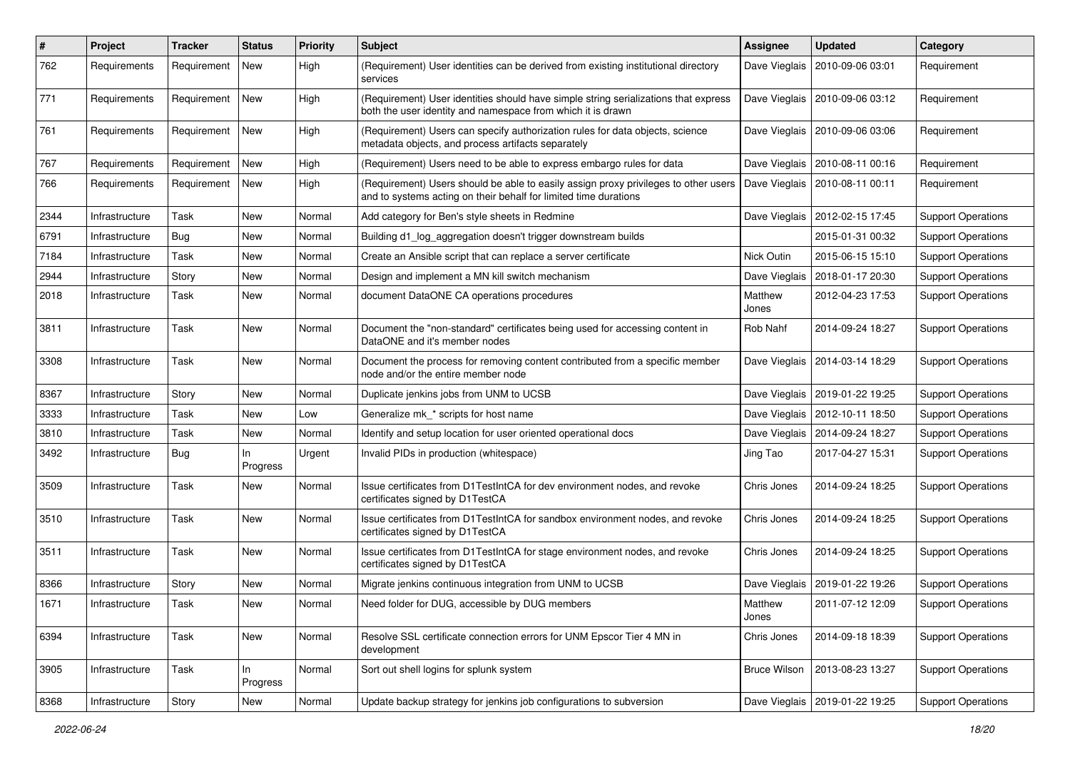| #    | Project        | <b>Tracker</b> | <b>Status</b>  | <b>Priority</b> | <b>Subject</b>                                                                                                                                          | <b>Assignee</b>     | <b>Updated</b>                   | Category                  |
|------|----------------|----------------|----------------|-----------------|---------------------------------------------------------------------------------------------------------------------------------------------------------|---------------------|----------------------------------|---------------------------|
| 762  | Requirements   | Requirement    | New            | High            | (Requirement) User identities can be derived from existing institutional directory<br>services                                                          | Dave Vieglais       | 2010-09-06 03:01                 | Requirement               |
| 771  | Requirements   | Requirement    | New            | High            | (Requirement) User identities should have simple string serializations that express<br>both the user identity and namespace from which it is drawn      | Dave Vieglais       | 2010-09-06 03:12                 | Requirement               |
| 761  | Requirements   | Requirement    | New            | High            | (Requirement) Users can specify authorization rules for data objects, science<br>metadata objects, and process artifacts separately                     | Dave Vieglais       | 2010-09-06 03:06                 | Requirement               |
| 767  | Requirements   | Requirement    | New            | High            | (Requirement) Users need to be able to express embargo rules for data                                                                                   | Dave Vieglais       | 2010-08-11 00:16                 | Requirement               |
| 766  | Requirements   | Requirement    | New            | High            | (Requirement) Users should be able to easily assign proxy privileges to other users<br>and to systems acting on their behalf for limited time durations | Dave Vieglais       | 2010-08-11 00:11                 | Requirement               |
| 2344 | Infrastructure | Task           | New            | Normal          | Add category for Ben's style sheets in Redmine                                                                                                          | Dave Vieglais       | 2012-02-15 17:45                 | <b>Support Operations</b> |
| 6791 | Infrastructure | Bug            | New            | Normal          | Building d1_log_aggregation doesn't trigger downstream builds                                                                                           |                     | 2015-01-31 00:32                 | <b>Support Operations</b> |
| 7184 | Infrastructure | Task           | New            | Normal          | Create an Ansible script that can replace a server certificate                                                                                          | Nick Outin          | 2015-06-15 15:10                 | <b>Support Operations</b> |
| 2944 | Infrastructure | Story          | New            | Normal          | Design and implement a MN kill switch mechanism                                                                                                         | Dave Vieglais       | 2018-01-17 20:30                 | <b>Support Operations</b> |
| 2018 | Infrastructure | Task           | New            | Normal          | document DataONE CA operations procedures                                                                                                               | Matthew<br>Jones    | 2012-04-23 17:53                 | <b>Support Operations</b> |
| 3811 | Infrastructure | Task           | New            | Normal          | Document the "non-standard" certificates being used for accessing content in<br>DataONE and it's member nodes                                           | Rob Nahf            | 2014-09-24 18:27                 | <b>Support Operations</b> |
| 3308 | Infrastructure | Task           | New            | Normal          | Document the process for removing content contributed from a specific member<br>node and/or the entire member node                                      |                     | Dave Vieglais   2014-03-14 18:29 | <b>Support Operations</b> |
| 8367 | Infrastructure | Story          | New            | Normal          | Duplicate jenkins jobs from UNM to UCSB                                                                                                                 |                     | Dave Vieglais   2019-01-22 19:25 | <b>Support Operations</b> |
| 3333 | Infrastructure | Task           | New            | Low             | Generalize mk_* scripts for host name                                                                                                                   |                     | Dave Vieglais   2012-10-11 18:50 | <b>Support Operations</b> |
| 3810 | Infrastructure | Task           | New            | Normal          | Identify and setup location for user oriented operational docs                                                                                          |                     | Dave Vieglais   2014-09-24 18:27 | <b>Support Operations</b> |
| 3492 | Infrastructure | Bug            | In<br>Progress | Urgent          | Invalid PIDs in production (whitespace)                                                                                                                 | Jing Tao            | 2017-04-27 15:31                 | <b>Support Operations</b> |
| 3509 | Infrastructure | Task           | New            | Normal          | Issue certificates from D1TestIntCA for dev environment nodes, and revoke<br>certificates signed by D1TestCA                                            | Chris Jones         | 2014-09-24 18:25                 | <b>Support Operations</b> |
| 3510 | Infrastructure | Task           | New            | Normal          | Issue certificates from D1TestIntCA for sandbox environment nodes, and revoke<br>certificates signed by D1TestCA                                        | Chris Jones         | 2014-09-24 18:25                 | <b>Support Operations</b> |
| 3511 | Infrastructure | Task           | New            | Normal          | Issue certificates from D1TestIntCA for stage environment nodes, and revoke<br>certificates signed by D1TestCA                                          | Chris Jones         | 2014-09-24 18:25                 | <b>Support Operations</b> |
| 8366 | Infrastructure | Story          | New            | Normal          | Migrate jenkins continuous integration from UNM to UCSB                                                                                                 | Dave Vieglais       | 2019-01-22 19:26                 | <b>Support Operations</b> |
| 1671 | Infrastructure | Task           | New            | Normal          | Need folder for DUG, accessible by DUG members                                                                                                          | Matthew<br>Jones    | 2011-07-12 12:09                 | <b>Support Operations</b> |
| 6394 | Infrastructure | Task           | New            | Normal          | Resolve SSL certificate connection errors for UNM Epscor Tier 4 MN in<br>development                                                                    | Chris Jones         | 2014-09-18 18:39                 | <b>Support Operations</b> |
| 3905 | Infrastructure | Task           | In<br>Progress | Normal          | Sort out shell logins for splunk system                                                                                                                 | <b>Bruce Wilson</b> | 2013-08-23 13:27                 | <b>Support Operations</b> |
| 8368 | Infrastructure | Story          | New            | Normal          | Update backup strategy for jenkins job configurations to subversion                                                                                     | Dave Vieglais       | 2019-01-22 19:25                 | <b>Support Operations</b> |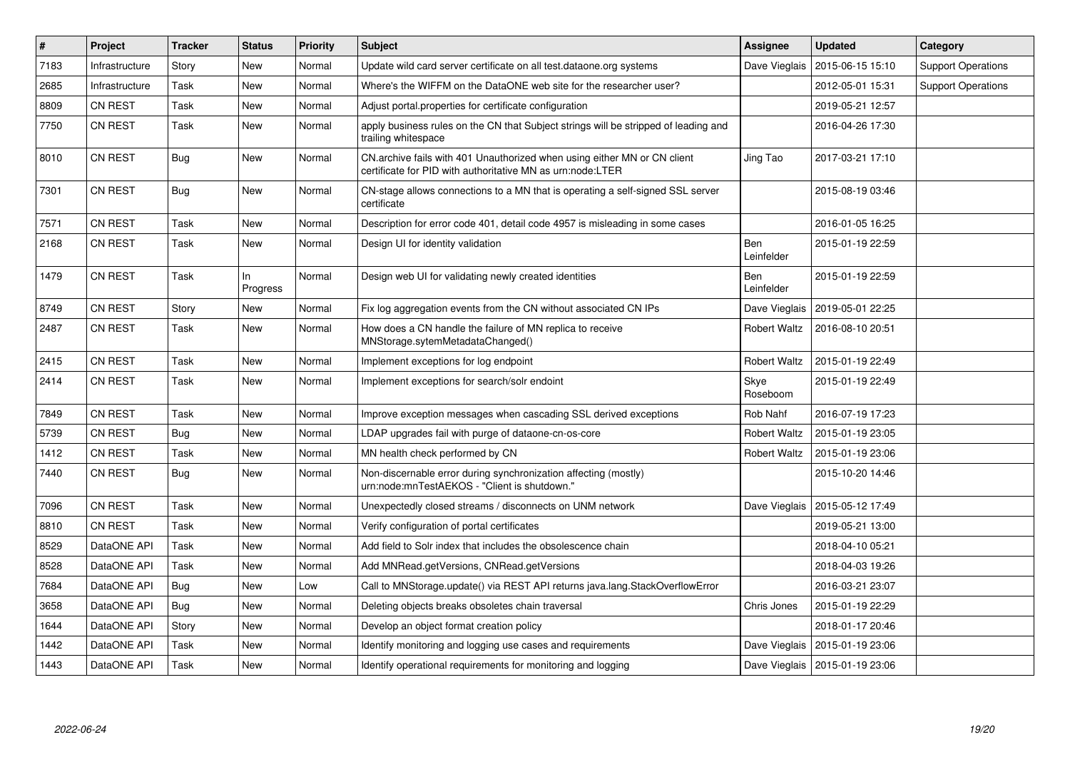| $\pmb{\#}$ | Project        | <b>Tracker</b> | <b>Status</b>   | Priority | <b>Subject</b>                                                                                                                         | Assignee                 | <b>Updated</b>                   | Category                  |
|------------|----------------|----------------|-----------------|----------|----------------------------------------------------------------------------------------------------------------------------------------|--------------------------|----------------------------------|---------------------------|
| 7183       | Infrastructure | Story          | New             | Normal   | Update wild card server certificate on all test.dataone.org systems                                                                    | Dave Vieglais            | 2015-06-15 15:10                 | <b>Support Operations</b> |
| 2685       | Infrastructure | Task           | New             | Normal   | Where's the WIFFM on the DataONE web site for the researcher user?                                                                     |                          | 2012-05-01 15:31                 | <b>Support Operations</b> |
| 8809       | CN REST        | Task           | New             | Normal   | Adjust portal properties for certificate configuration                                                                                 |                          | 2019-05-21 12:57                 |                           |
| 7750       | CN REST        | Task           | New             | Normal   | apply business rules on the CN that Subject strings will be stripped of leading and<br>trailing whitespace                             |                          | 2016-04-26 17:30                 |                           |
| 8010       | CN REST        | Bug            | New             | Normal   | CN.archive fails with 401 Unauthorized when using either MN or CN client<br>certificate for PID with authoritative MN as urn:node:LTER | Jing Tao                 | 2017-03-21 17:10                 |                           |
| 7301       | CN REST        | Bug            | New             | Normal   | CN-stage allows connections to a MN that is operating a self-signed SSL server<br>certificate                                          |                          | 2015-08-19 03:46                 |                           |
| 7571       | CN REST        | Task           | New             | Normal   | Description for error code 401, detail code 4957 is misleading in some cases                                                           |                          | 2016-01-05 16:25                 |                           |
| 2168       | CN REST        | Task           | New             | Normal   | Design UI for identity validation                                                                                                      | <b>Ben</b><br>Leinfelder | 2015-01-19 22:59                 |                           |
| 1479       | CN REST        | Task           | ln.<br>Progress | Normal   | Design web UI for validating newly created identities                                                                                  | Ben<br>Leinfelder        | 2015-01-19 22:59                 |                           |
| 8749       | CN REST        | Story          | New             | Normal   | Fix log aggregation events from the CN without associated CN IPs                                                                       | Dave Vieglais            | 2019-05-01 22:25                 |                           |
| 2487       | CN REST        | Task           | New             | Normal   | How does a CN handle the failure of MN replica to receive<br>MNStorage.sytemMetadataChanged()                                          | <b>Robert Waltz</b>      | 2016-08-10 20:51                 |                           |
| 2415       | CN REST        | Task           | New             | Normal   | Implement exceptions for log endpoint                                                                                                  | Robert Waltz             | 2015-01-19 22:49                 |                           |
| 2414       | CN REST        | Task           | New             | Normal   | Implement exceptions for search/solr endoint                                                                                           | Skye<br>Roseboom         | 2015-01-19 22:49                 |                           |
| 7849       | CN REST        | Task           | New             | Normal   | Improve exception messages when cascading SSL derived exceptions                                                                       | Rob Nahf                 | 2016-07-19 17:23                 |                           |
| 5739       | CN REST        | Bug            | New             | Normal   | LDAP upgrades fail with purge of dataone-cn-os-core                                                                                    | <b>Robert Waltz</b>      | 2015-01-19 23:05                 |                           |
| 1412       | <b>CN REST</b> | Task           | <b>New</b>      | Normal   | MN health check performed by CN                                                                                                        | Robert Waltz             | 2015-01-19 23:06                 |                           |
| 7440       | CN REST        | <b>Bug</b>     | New             | Normal   | Non-discernable error during synchronization affecting (mostly)<br>urn:node:mnTestAEKOS - "Client is shutdown."                        |                          | 2015-10-20 14:46                 |                           |
| 7096       | CN REST        | Task           | New             | Normal   | Unexpectedly closed streams / disconnects on UNM network                                                                               | Dave Vieglais            | 2015-05-12 17:49                 |                           |
| 8810       | CN REST        | Task           | New             | Normal   | Verify configuration of portal certificates                                                                                            |                          | 2019-05-21 13:00                 |                           |
| 8529       | DataONE API    | Task           | New             | Normal   | Add field to Solr index that includes the obsolescence chain                                                                           |                          | 2018-04-10 05:21                 |                           |
| 8528       | DataONE API    | Task           | New             | Normal   | Add MNRead.getVersions, CNRead.getVersions                                                                                             |                          | 2018-04-03 19:26                 |                           |
| 7684       | DataONE API    | Bug            | New             | Low      | Call to MNStorage.update() via REST API returns java.lang.StackOverflowError                                                           |                          | 2016-03-21 23:07                 |                           |
| 3658       | DataONE API    | Bug            | New             | Normal   | Deleting objects breaks obsoletes chain traversal                                                                                      | Chris Jones              | 2015-01-19 22:29                 |                           |
| 1644       | DataONE API    | Story          | New             | Normal   | Develop an object format creation policy                                                                                               |                          | 2018-01-17 20:46                 |                           |
| 1442       | DataONE API    | Task           | New             | Normal   | Identify monitoring and logging use cases and requirements                                                                             | Dave Vieglais            | 2015-01-19 23:06                 |                           |
| 1443       | DataONE API    | Task           | New             | Normal   | Identify operational requirements for monitoring and logging                                                                           |                          | Dave Vieglais   2015-01-19 23:06 |                           |